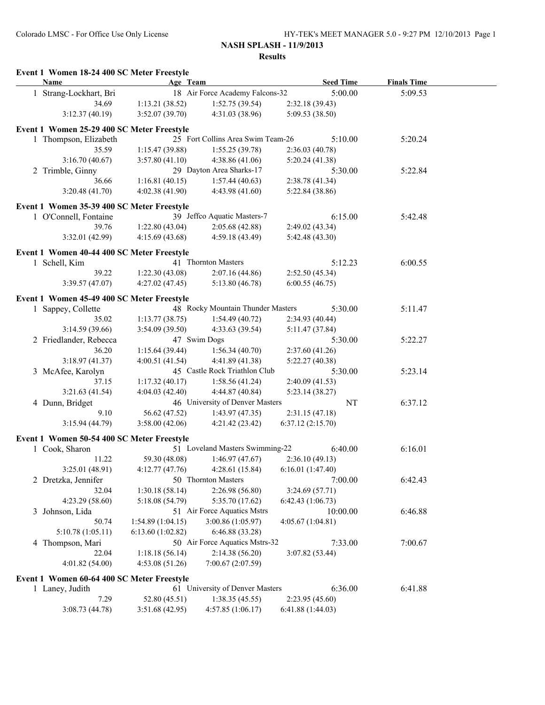|   | Event 1 Women 18-24 400 SC Meter Freestyle<br>Name | Age Team         |                                   | <b>Seed Time</b>                 | <b>Finals Time</b> |
|---|----------------------------------------------------|------------------|-----------------------------------|----------------------------------|--------------------|
|   | 1 Strang-Lockhart, Bri                             |                  | 18 Air Force Academy Falcons-32   | 5:00.00                          | 5:09.53            |
|   | 34.69                                              | 1:13.21(38.52)   | 1:52.75(39.54)                    | 2:32.18 (39.43)                  |                    |
|   | 3:12.37(40.19)                                     | 3:52.07(39.70)   | 4:31.03 (38.96)                   | 5:09.53 (38.50)                  |                    |
|   |                                                    |                  |                                   |                                  |                    |
|   | Event 1 Women 25-29 400 SC Meter Freestyle         |                  | 25 Fort Collins Area Swim Team-26 | 5:10.00                          | 5:20.24            |
|   | 1 Thompson, Elizabeth<br>35.59                     | 1:15.47(39.88)   | 1:55.25(39.78)                    |                                  |                    |
|   | 3:16.70(40.67)                                     | 3:57.80(41.10)   | 4:38.86(41.06)                    | 2:36.03(40.78)<br>5:20.24(41.38) |                    |
|   | 2 Trimble, Ginny                                   |                  | 29 Dayton Area Sharks-17          | 5:30.00                          | 5:22.84            |
|   | 36.66                                              | 1:16.81(40.15)   | 1:57.44(40.63)                    | 2:38.78 (41.34)                  |                    |
|   | 3:20.48(41.70)                                     | 4:02.38(41.90)   | 4:43.98(41.60)                    | 5:22.84 (38.86)                  |                    |
|   |                                                    |                  |                                   |                                  |                    |
|   | Event 1 Women 35-39 400 SC Meter Freestyle         |                  |                                   |                                  |                    |
|   | 1 O'Connell, Fontaine                              |                  | 39 Jeffco Aquatic Masters-7       | 6:15.00                          | 5:42.48            |
|   | 39.76                                              | 1:22.80(43.04)   | 2:05.68(42.88)                    | 2:49.02 (43.34)                  |                    |
|   | 3:32.01 (42.99)                                    | 4:15.69(43.68)   | 4:59.18(43.49)                    | 5:42.48 (43.30)                  |                    |
|   | Event 1 Women 40-44 400 SC Meter Freestyle         |                  |                                   |                                  |                    |
|   | 1 Schell, Kim                                      |                  | 41 Thornton Masters               | 5:12.23                          | 6:00.55            |
|   | 39.22                                              | 1:22.30 (43.08)  | 2:07.16(44.86)                    | 2:52.50 (45.34)                  |                    |
|   | 3:39.57(47.07)                                     | 4:27.02(47.45)   | 5:13.80(46.78)                    | 6:00.55(46.75)                   |                    |
|   |                                                    |                  |                                   |                                  |                    |
|   | Event 1 Women 45-49 400 SC Meter Freestyle         |                  |                                   |                                  |                    |
|   | 1 Sappey, Collette                                 |                  | 48 Rocky Mountain Thunder Masters | 5:30.00                          | 5:11.47            |
|   | 35.02                                              | 1:13.77(38.75)   | 1:54.49(40.72)                    | 2:34.93 (40.44)                  |                    |
|   | 3:14.59(39.66)                                     | 3:54.09(39.50)   | 4:33.63 (39.54)                   | 5:11.47 (37.84)                  |                    |
|   | 2 Friedlander, Rebecca                             |                  | 47 Swim Dogs                      | 5:30.00                          | 5:22.27            |
|   | 36.20                                              | 1:15.64(39.44)   | 1:56.34(40.70)                    | 2:37.60 (41.26)                  |                    |
|   | 3:18.97(41.37)                                     | 4:00.51(41.54)   | 4:41.89 (41.38)                   | 5:22.27(40.38)                   |                    |
|   | 3 McAfee, Karolyn                                  |                  | 45 Castle Rock Triathlon Club     | 5:30.00                          | 5:23.14            |
|   | 37.15                                              | 1:17.32(40.17)   | 1:58.56(41.24)                    | 2:40.09 (41.53)                  |                    |
|   | 3:21.63(41.54)                                     | 4:04.03(42.40)   | 4:44.87 (40.84)                   | 5:23.14(38.27)                   |                    |
|   | 4 Dunn, Bridget                                    |                  | 46 University of Denver Masters   | NT                               | 6:37.12            |
|   | 9.10                                               | 56.62 (47.52)    | 1:43.97(47.35)                    | 2:31.15(47.18)                   |                    |
|   | 3:15.94(44.79)                                     | 3:58.00(42.06)   | 4:21.42 (23.42)                   | 6:37.12(2:15.70)                 |                    |
|   | Event 1 Women 50-54 400 SC Meter Freestyle         |                  |                                   |                                  |                    |
|   | 1 Cook, Sharon                                     |                  | 51 Loveland Masters Swimming-22   | 6:40.00                          | 6:16.01            |
|   | 11.22                                              | 59.30 (48.08)    | 1:46.97(47.67)                    | 2:36.10(49.13)                   |                    |
|   | 3:25.01(48.91)                                     | 4:12.77(47.76)   | 4:28.61(15.84)                    | 6:16.01(1:47.40)                 |                    |
|   | 2 Dretzka, Jennifer                                |                  | 50 Thornton Masters               | 7:00.00                          | 6:42.43            |
|   | 32.04                                              | 1:30.18(58.14)   | 2:26.98 (56.80)                   | 3:24.69(57.71)                   |                    |
|   | 4:23.29 (58.60)                                    | 5:18.08 (54.79)  | 5:35.70(17.62)                    | 6:42.43(1:06.73)                 |                    |
| 3 | Johnson, Lida                                      |                  | 51 Air Force Aquatics Mstrs       | 10:00.00                         | 6:46.88            |
|   | 50.74                                              | 1:54.89(1:04.15) | 3:00.86 (1:05.97)                 | 4:05.67(1:04.81)                 |                    |
|   | 5:10.78 (1:05.11)                                  | 6:13.60(1:02.82) | 6:46.88(33.28)                    |                                  |                    |
|   | 4 Thompson, Mari                                   |                  | 50 Air Force Aquatics Mstrs-32    | 7:33.00                          | 7:00.67            |
|   | 22.04                                              | 1:18.18(56.14)   | 2:14.38(56.20)                    | 3:07.82 (53.44)                  |                    |
|   | 4:01.82 (54.00)                                    | 4:53.08(51.26)   | 7:00.67 (2:07.59)                 |                                  |                    |
|   |                                                    |                  |                                   |                                  |                    |
|   | Event 1 Women 60-64 400 SC Meter Freestyle         |                  |                                   |                                  |                    |
|   | 1 Laney, Judith                                    |                  | 61 University of Denver Masters   | 6:36.00                          | 6:41.88            |
|   | 7.29                                               | 52.80 (45.51)    | 1:38.35(45.55)                    | 2:23.95 (45.60)                  |                    |
|   | 3:08.73(44.78)                                     | 3:51.68(42.95)   | 4:57.85(1:06.17)                  | 6:41.88 (1:44.03)                |                    |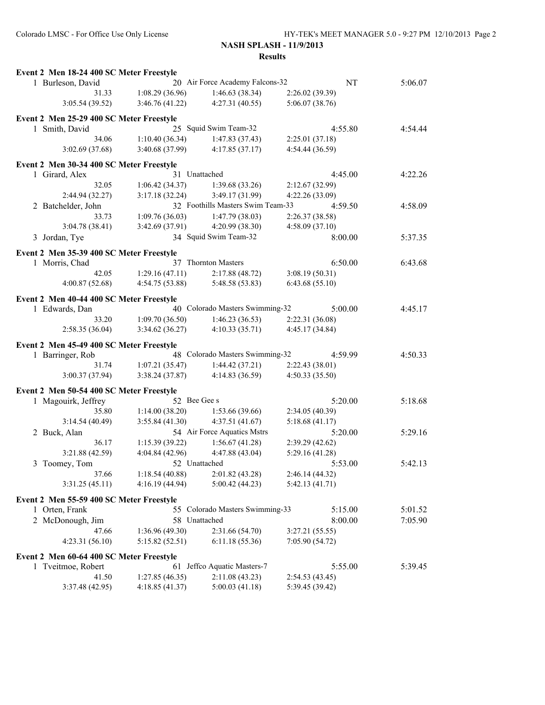| Event 2 Men 18-24 400 SC Meter Freestyle                   |                |                                   |                 |               |
|------------------------------------------------------------|----------------|-----------------------------------|-----------------|---------------|
| 1 Burleson, David                                          |                | 20 Air Force Academy Falcons-32   |                 | NT<br>5:06.07 |
| 31.33                                                      | 1:08.29(36.96) | 1:46.63(38.34)                    | 2:26.02(39.39)  |               |
| 3:05.54(39.52)                                             | 3:46.76(41.22) | 4:27.31(40.55)                    | 5:06.07 (38.76) |               |
| Event 2 Men 25-29 400 SC Meter Freestyle                   |                |                                   |                 |               |
| 1 Smith, David                                             |                | 25 Squid Swim Team-32             | 4:55.80         | 4:54.44       |
| 34.06                                                      | 1:10.40(36.34) | 1:47.83(37.43)                    | 2:25.01(37.18)  |               |
| 3:02.69(37.68)                                             | 3:40.68(37.99) | 4:17.85(37.17)                    | 4:54.44 (36.59) |               |
| Event 2 Men 30-34 400 SC Meter Freestyle                   |                |                                   |                 |               |
| 1 Girard, Alex                                             | 31 Unattached  |                                   | 4:45.00         | 4:22.26       |
| 32.05                                                      | 1:06.42(34.37) | 1:39.68(33.26)                    | 2:12.67(32.99)  |               |
| 2:44.94 (32.27)                                            | 3:17.18(32.24) | 3:49.17 (31.99)                   | 4:22.26 (33.09) |               |
| 2 Batchelder, John                                         |                | 32 Foothills Masters Swim Team-33 | 4:59.50         | 4:58.09       |
| 33.73                                                      | 1:09.76(36.03) | 1:47.79(38.03)                    | 2:26.37 (38.58) |               |
| 3:04.78 (38.41)                                            | 3:42.69(37.91) | 4:20.99(38.30)                    | 4:58.09(37.10)  |               |
| 3 Jordan, Tye                                              |                | 34 Squid Swim Team-32             | 8:00.00         | 5:37.35       |
| Event 2 Men 35-39 400 SC Meter Freestyle                   |                |                                   |                 |               |
| 1 Morris, Chad                                             |                | 37 Thornton Masters               | 6:50.00         | 6:43.68       |
| 42.05                                                      | 1:29.16(47.11) | 2:17.88(48.72)                    | 3:08.19(50.31)  |               |
| 4:00.87(52.68)                                             | 4:54.75(53.88) | 5:48.58 (53.83)                   | 6:43.68(55.10)  |               |
| Event 2 Men 40-44 400 SC Meter Freestyle                   |                |                                   |                 |               |
| 1 Edwards, Dan                                             |                | 40 Colorado Masters Swimming-32   | 5:00.00         | 4:45.17       |
| 33.20                                                      | 1:09.70(36.50) | $1:46.23(36.53)$ $2:22.31(36.08)$ |                 |               |
| 2:58.35 (36.04)                                            | 3:34.62(36.27) | 4:10.33(35.71)                    | 4:45.17 (34.84) |               |
| Event 2 Men 45-49 400 SC Meter Freestyle                   |                |                                   |                 |               |
| 1 Barringer, Rob                                           |                | 48 Colorado Masters Swimming-32   | 4:59.99         | 4:50.33       |
| 31.74                                                      | 1:07.21(35.47) | 1:44.42(37.21)                    | 2:22.43(38.01)  |               |
| 3:00.37(37.94)                                             | 3:38.24(37.87) | 4:14.83(36.59)                    | 4:50.33(35.50)  |               |
| Event 2 Men 50-54 400 SC Meter Freestyle                   |                |                                   |                 |               |
| 1 Magouirk, Jeffrey                                        | 52 Bee Gee s   |                                   | 5:20.00         | 5:18.68       |
| 35.80                                                      | 1:14.00(38.20) | 1:53.66(39.66)                    | 2:34.05 (40.39) |               |
| 3:14.54(40.49)                                             | 3:55.84(41.30) | 4:37.51(41.67)                    | 5:18.68(41.17)  |               |
| 2 Buck, Alan                                               |                | 54 Air Force Aquatics Mstrs       | 5:20.00         | 5:29.16       |
| 36.17                                                      | 1:15.39(39.22) | 1:56.67(41.28)                    | 2:39.29 (42.62) |               |
| 3:21.88(42.59)                                             | 4:04.84(42.96) | 4:47.88 (43.04)                   | 5:29.16 (41.28) |               |
| 3 Toomey, Tom                                              | 52 Unattached  |                                   | 5:53.00         | 5:42.13       |
| 37.66                                                      | 1:18.54(40.88) | 2:01.82(43.28)                    | 2:46.14(44.32)  |               |
| 3:31.25(45.11)                                             | 4:16.19(44.94) | 5:00.42(44.23)                    | 5:42.13 (41.71) |               |
|                                                            |                |                                   |                 |               |
| Event 2 Men 55-59 400 SC Meter Freestyle<br>1 Orten, Frank |                | 55 Colorado Masters Swimming-33   | 5:15.00         | 5:01.52       |
| 2 McDonough, Jim                                           | 58 Unattached  |                                   | 8:00.00         | 7:05.90       |
| 47.66                                                      | 1:36.96(49.30) | 2:31.66 (54.70)                   | 3:27.21(55.55)  |               |
| 4:23.31(56.10)                                             | 5:15.82(52.51) | 6:11.18(55.36)                    | 7:05.90 (54.72) |               |
|                                                            |                |                                   |                 |               |
| Event 2 Men 60-64 400 SC Meter Freestyle                   |                |                                   |                 |               |
| 1 Tveitmoe, Robert                                         |                | 61 Jeffco Aquatic Masters-7       | 5:55.00         | 5:39.45       |
| 41.50                                                      | 1:27.85(46.35) | 2:11.08(43.23)                    | 2:54.53(43.45)  |               |
| 3:37.48(42.95)                                             | 4:18.85(41.37) | 5:00.03(41.18)                    | 5:39.45 (39.42) |               |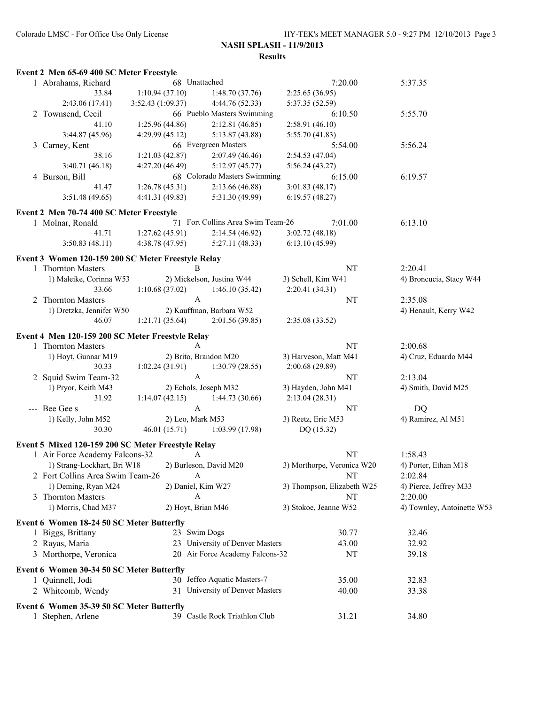| Event 2 Men 65-69 400 SC Meter Freestyle           |                                   |                                   |                            |                            |
|----------------------------------------------------|-----------------------------------|-----------------------------------|----------------------------|----------------------------|
| 1 Abrahams, Richard                                | 68 Unattached                     |                                   | 7:20.00                    | 5:37.35                    |
| 33.84                                              | 1:10.94(37.10)                    | 1:48.70(37.76)                    | 2:25.65(36.95)             |                            |
| 2:43.06 (17.41)                                    | 3:52.43(1:09.37)                  | 4:44.76 (52.33)                   | 5:37.35 (52.59)            |                            |
| 2 Townsend, Cecil                                  |                                   | 66 Pueblo Masters Swimming        | 6:10.50                    | 5:55.70                    |
| 41.10                                              | 1:25.96(44.86)                    | 2:12.81(46.85)                    | 2:58.91 (46.10)            |                            |
| 3:44.87(45.96)                                     | 4:29.99(45.12)                    | 5:13.87 (43.88)                   | 5:55.70(41.83)             |                            |
| 3 Carney, Kent                                     |                                   | 66 Evergreen Masters              | 5:54.00                    | 5:56.24                    |
| 38.16                                              | 1:21.03(42.87)                    | 2:07.49 (46.46)                   | 2:54.53 (47.04)            |                            |
| 3:40.71 (46.18)                                    | 4:27.20(46.49)                    | 5:12.97(45.77)                    | 5:56.24(43.27)             |                            |
| 4 Burson, Bill                                     |                                   | 68 Colorado Masters Swimming      | 6:15.00                    | 6:19.57                    |
| 41.47                                              | 1:26.78(45.31)                    | 2:13.66(46.88)                    | 3:01.83(48.17)             |                            |
| 3:51.48(49.65)                                     | 4:41.31(49.83)                    | 5:31.30 (49.99)                   | 6:19.57(48.27)             |                            |
| Event 2 Men 70-74 400 SC Meter Freestyle           |                                   |                                   |                            |                            |
| 1 Molnar, Ronald                                   |                                   | 71 Fort Collins Area Swim Team-26 | 7:01.00                    | 6:13.10                    |
| 41.71                                              | 1:27.62(45.91)                    | 2:14.54(46.92)                    | 3:02.72(48.18)             |                            |
| 3:50.83(48.11)                                     | 4:38.78(47.95)                    | 5:27.11(48.33)                    | 6:13.10(45.99)             |                            |
|                                                    |                                   |                                   |                            |                            |
| Event 3 Women 120-159 200 SC Meter Freestyle Relay |                                   |                                   |                            |                            |
| 1 Thornton Masters                                 | B                                 |                                   | NT                         | 2:20.41                    |
| 1) Maleike, Corinna W53                            |                                   | 2) Mickelson, Justina W44         | 3) Schell, Kim W41         | 4) Broncucia, Stacy W44    |
| 33.66                                              | 1:10.68(37.02)                    | 1:46.10(35.42)                    | 2:20.41(34.31)             |                            |
| 2 Thornton Masters                                 | $\mathbf{A}$                      |                                   | NT                         | 2:35.08                    |
| 1) Dretzka, Jennifer W50                           |                                   | 2) Kauffman, Barbara W52          |                            | 4) Henault, Kerry W42      |
| 46.07                                              | 1:21.71(35.64)                    | 2:01.56(39.85)                    | 2:35.08 (33.52)            |                            |
| Event 4 Men 120-159 200 SC Meter Freestyle Relay   |                                   |                                   |                            |                            |
| 1 Thornton Masters                                 | $\mathbf{A}$                      |                                   | NT                         | 2:00.68                    |
| 1) Hoyt, Gunnar M19                                |                                   | 2) Brito, Brandon M20             | 3) Harveson, Matt M41      | 4) Cruz, Eduardo M44       |
| 30.33                                              | $1:02.24(31.91)$ $1:30.79(28.55)$ |                                   | 2:00.68 (29.89)            |                            |
| 2 Squid Swim Team-32                               | $\mathbf{A}$                      |                                   | NT                         | 2:13.04                    |
| 1) Pryor, Keith M43                                |                                   | 2) Echols, Joseph M32             | 3) Hayden, John M41        | 4) Smith, David M25        |
| 31.92                                              | $1:14.07(42.15)$ $1:44.73(30.66)$ |                                   | 2:13.04(28.31)             |                            |
| --- Bee Gee s                                      | $\mathbf{A}$                      |                                   | NT                         | <b>DQ</b>                  |
| 1) Kelly, John M52                                 | 2) Leo, Mark M53                  |                                   | 3) Reetz, Eric M53         | 4) Ramirez, Al M51         |
| 30.30                                              |                                   | 46.01 (15.71) 1:03.99 (17.98)     | DQ (15.32)                 |                            |
|                                                    |                                   |                                   |                            |                            |
| Event 5 Mixed 120-159 200 SC Meter Freestyle Relay |                                   |                                   |                            |                            |
| 1 Air Force Academy Falcons-32                     | A                                 |                                   | NT                         | 1:58.43                    |
| 1) Strang-Lockhart, Bri W18                        |                                   | 2) Burleson, David M20            | 3) Morthorpe, Veronica W20 | 4) Porter, Ethan M18       |
| 2 Fort Collins Area Swim Team-26                   | A                                 |                                   | NT                         | 2:02.84                    |
| 1) Deming, Ryan M24                                | 2) Daniel, Kim W27                |                                   | 3) Thompson, Elizabeth W25 | 4) Pierce, Jeffrey M33     |
| 3 Thornton Masters                                 | A                                 |                                   | NT                         | 2:20.00                    |
| 1) Morris, Chad M37                                | 2) Hoyt, Brian M46                |                                   | 3) Stokoe, Jeanne W52      | 4) Townley, Antoinette W53 |
| Event 6 Women 18-24 50 SC Meter Butterfly          |                                   |                                   |                            |                            |
| 1 Biggs, Brittany                                  | 23 Swim Dogs                      |                                   | 30.77                      | 32.46                      |
| 2 Rayas, Maria                                     |                                   | 23 University of Denver Masters   | 43.00                      | 32.92                      |
| 3 Morthorpe, Veronica                              |                                   | 20 Air Force Academy Falcons-32   | NT                         | 39.18                      |
|                                                    |                                   |                                   |                            |                            |
| Event 6 Women 30-34 50 SC Meter Butterfly          |                                   |                                   |                            |                            |
| 1 Quinnell, Jodi                                   |                                   | 30 Jeffco Aquatic Masters-7       | 35.00                      | 32.83                      |
| 2 Whitcomb, Wendy                                  |                                   | 31 University of Denver Masters   | 40.00                      | 33.38                      |
| Event 6 Women 35-39 50 SC Meter Butterfly          |                                   |                                   |                            |                            |
| 1 Stephen, Arlene                                  |                                   | 39 Castle Rock Triathlon Club     | 31.21                      | 34.80                      |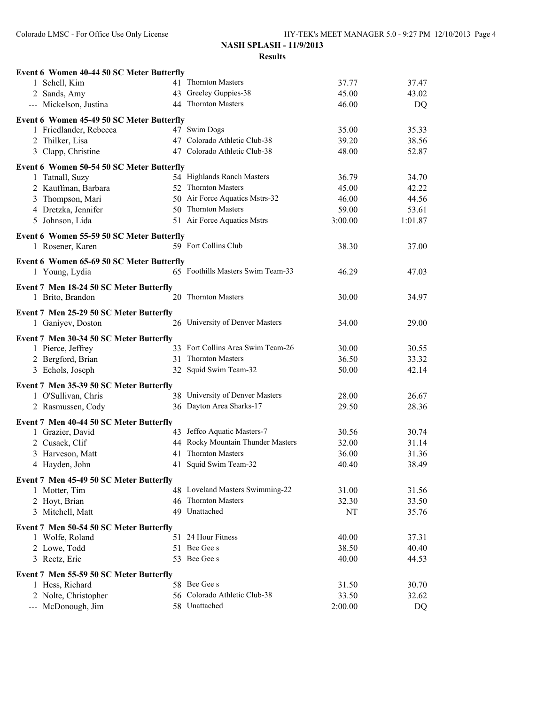| Event 6 Women 40-44 50 SC Meter Butterfly |    |                                   |         |         |
|-------------------------------------------|----|-----------------------------------|---------|---------|
| 1 Schell, Kim                             |    | 41 Thornton Masters               | 37.77   | 37.47   |
| 2 Sands, Amy                              |    | 43 Greeley Guppies-38             | 45.00   | 43.02   |
| --- Mickelson, Justina                    |    | 44 Thornton Masters               | 46.00   | DQ      |
| Event 6 Women 45-49 50 SC Meter Butterfly |    |                                   |         |         |
| 1 Friedlander, Rebecca                    |    | 47 Swim Dogs                      | 35.00   | 35.33   |
| 2 Thilker, Lisa                           |    | 47 Colorado Athletic Club-38      | 39.20   | 38.56   |
| 3 Clapp, Christine                        |    | 47 Colorado Athletic Club-38      | 48.00   | 52.87   |
| Event 6 Women 50-54 50 SC Meter Butterfly |    |                                   |         |         |
| 1 Tatnall, Suzy                           |    | 54 Highlands Ranch Masters        | 36.79   | 34.70   |
| 2 Kauffman, Barbara                       |    | 52 Thornton Masters               | 45.00   | 42.22   |
| 3 Thompson, Mari                          |    | 50 Air Force Aquatics Mstrs-32    | 46.00   | 44.56   |
| 4 Dretzka, Jennifer                       |    | 50 Thornton Masters               | 59.00   | 53.61   |
| Johnson, Lida<br>5                        |    | 51 Air Force Aquatics Mstrs       | 3:00.00 | 1:01.87 |
|                                           |    |                                   |         |         |
| Event 6 Women 55-59 50 SC Meter Butterfly |    |                                   |         |         |
| 1 Rosener, Karen                          |    | 59 Fort Collins Club              | 38.30   | 37.00   |
| Event 6 Women 65-69 50 SC Meter Butterfly |    |                                   |         |         |
| 1 Young, Lydia                            |    | 65 Foothills Masters Swim Team-33 | 46.29   | 47.03   |
| Event 7 Men 18-24 50 SC Meter Butterfly   |    |                                   |         |         |
| 1 Brito, Brandon                          |    | 20 Thornton Masters               | 30.00   | 34.97   |
|                                           |    |                                   |         |         |
| Event 7 Men 25-29 50 SC Meter Butterfly   |    |                                   |         |         |
| 1 Ganiyev, Doston                         |    | 26 University of Denver Masters   | 34.00   | 29.00   |
| Event 7 Men 30-34 50 SC Meter Butterfly   |    |                                   |         |         |
| 1 Pierce, Jeffrey                         |    | 33 Fort Collins Area Swim Team-26 | 30.00   | 30.55   |
| 2 Bergford, Brian                         |    | 31 Thornton Masters               | 36.50   | 33.32   |
| 3 Echols, Joseph                          |    | 32 Squid Swim Team-32             | 50.00   | 42.14   |
| Event 7 Men 35-39 50 SC Meter Butterfly   |    |                                   |         |         |
| 1 O'Sullivan, Chris                       |    | 38 University of Denver Masters   | 28.00   | 26.67   |
| 2 Rasmussen, Cody                         |    | 36 Dayton Area Sharks-17          | 29.50   | 28.36   |
|                                           |    |                                   |         |         |
| Event 7 Men 40-44 50 SC Meter Butterfly   |    |                                   |         |         |
| 1 Grazier, David                          |    | 43 Jeffco Aquatic Masters-7       | 30.56   | 30.74   |
| 2 Cusack, Clif                            |    | 44 Rocky Mountain Thunder Masters | 32.00   | 31.14   |
| 3 Harveson, Matt                          | 41 | <b>Thornton Masters</b>           | 36.00   | 31.36   |
| 4 Hayden, John                            |    | 41 Squid Swim Team-32             | 40.40   | 38.49   |
| Event 7 Men 45-49 50 SC Meter Butterfly   |    |                                   |         |         |
| 1 Motter, Tim                             |    | 48 Loveland Masters Swimming-22   | 31.00   | 31.56   |
| 2 Hoyt, Brian                             |    | 46 Thornton Masters               | 32.30   | 33.50   |
| 3 Mitchell, Matt                          |    | 49 Unattached                     | NT      | 35.76   |
| Event 7 Men 50-54 50 SC Meter Butterfly   |    |                                   |         |         |
| 1 Wolfe, Roland                           |    | 51 24 Hour Fitness                | 40.00   | 37.31   |
| 2 Lowe, Todd                              |    | 51 Bee Gee s                      | 38.50   | 40.40   |
| 3 Reetz, Eric                             |    | 53 Bee Gee s                      | 40.00   | 44.53   |
|                                           |    |                                   |         |         |
| Event 7 Men 55-59 50 SC Meter Butterfly   |    |                                   |         |         |
| 1 Hess, Richard                           |    | 58 Bee Gee s                      | 31.50   | 30.70   |
| 2 Nolte, Christopher                      |    | 56 Colorado Athletic Club-38      | 33.50   | 32.62   |
| --- McDonough, Jim                        |    | 58 Unattached                     | 2:00.00 | DQ      |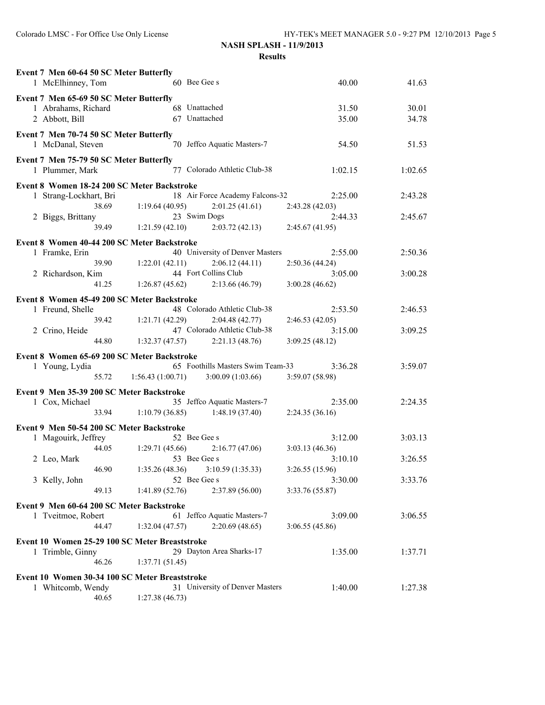| Event 7 Men 60-64 50 SC Meter Butterfly        |                                   |                                   |                 |         |
|------------------------------------------------|-----------------------------------|-----------------------------------|-----------------|---------|
| 1 McElhinney, Tom                              | 60 Bee Gee s                      |                                   | 40.00           | 41.63   |
| Event 7 Men 65-69 50 SC Meter Butterfly        |                                   |                                   |                 |         |
| 1 Abrahams, Richard                            | 68 Unattached                     |                                   | 31.50           | 30.01   |
| 2 Abbott, Bill                                 | 67 Unattached                     |                                   | 35.00           | 34.78   |
| Event 7 Men 70-74 50 SC Meter Butterfly        |                                   |                                   |                 |         |
| 1 McDanal, Steven                              |                                   | 70 Jeffco Aquatic Masters-7       | 54.50           | 51.53   |
| Event 7 Men 75-79 50 SC Meter Butterfly        |                                   |                                   |                 |         |
| 1 Plummer, Mark                                |                                   | 77 Colorado Athletic Club-38      | 1:02.15         | 1:02.65 |
| Event 8 Women 18-24 200 SC Meter Backstroke    |                                   |                                   |                 |         |
| 1 Strang-Lockhart, Bri                         |                                   | 18 Air Force Academy Falcons-32   | 2:25.00         | 2:43.28 |
| 38.69                                          | 1:19.64(40.95)                    | 2:01.25(41.61)                    | 2:43.28 (42.03) |         |
| 2 Biggs, Brittany                              | 23 Swim Dogs                      |                                   | 2:44.33         | 2:45.67 |
| 39.49                                          | 1:21.59(42.10)                    | $2:03.72(42.13)$ $2:45.67(41.95)$ |                 |         |
| Event 8 Women 40-44 200 SC Meter Backstroke    |                                   |                                   |                 |         |
| 1 Framke, Erin                                 |                                   | 40 University of Denver Masters   | 2:55.00         | 2:50.36 |
| 39.90                                          | 1:22.01(42.11)                    | 2:06.12(44.11)                    | 2:50.36(44.24)  |         |
| 2 Richardson, Kim                              |                                   | 44 Fort Collins Club              | 3:05.00         | 3:00.28 |
| 41.25                                          | 1:26.87(45.62)                    | 2:13.66(46.79)                    | 3:00.28(46.62)  |         |
| Event 8 Women 45-49 200 SC Meter Backstroke    |                                   |                                   |                 |         |
| 1 Freund, Shelle                               |                                   | 48 Colorado Athletic Club-38      | 2:53.50         | 2:46.53 |
| 39.42                                          | 1:21.71(42.29)                    | 2:04.48(42.77)                    | 2:46.53(42.05)  |         |
| 2 Crino, Heide                                 |                                   | 47 Colorado Athletic Club-38      | 3:15.00         | 3:09.25 |
| 44.80                                          | $1:32.37(47.57)$ $2:21.13(48.76)$ |                                   | 3:09.25(48.12)  |         |
| Event 8 Women 65-69 200 SC Meter Backstroke    |                                   |                                   |                 |         |
| 1 Young, Lydia                                 |                                   | 65 Foothills Masters Swim Team-33 | 3:36.28         | 3:59.07 |
| 55.72                                          | 1:56.43(1:00.71)                  | 3:00.09(1:03.66)                  | 3:59.07 (58.98) |         |
| Event 9 Men 35-39 200 SC Meter Backstroke      |                                   |                                   |                 |         |
| 1 Cox, Michael                                 |                                   | 35 Jeffco Aquatic Masters-7       | 2:35.00         | 2:24.35 |
| 33.94                                          | 1:10.79(36.85)                    | 1:48.19(37.40)                    | 2:24.35(36.16)  |         |
|                                                |                                   |                                   |                 |         |
| Event 9 Men 50-54 200 SC Meter Backstroke      | 52 Bee Gee s                      |                                   | 3:12.00         | 3:03.13 |
| 1 Magouirk, Jeffrey<br>44.05                   | 1:29.71(45.66)                    | 2:16.77(47.06)                    | 3:03.13 (46.36) |         |
| 2 Leo, Mark                                    | 53 Bee Gee s                      |                                   | 3:10.10         | 3:26.55 |
| 46.90                                          | 1:35.26(48.36)                    | 3:10.59(1:35.33)                  | 3:26.55 (15.96) |         |
| 3 Kelly, John                                  | 52 Bee Gee s                      |                                   | 3:30.00         | 3:33.76 |
| 49.13                                          | 1:41.89(52.76)                    | 2:37.89 (56.00)                   | 3:33.76 (55.87) |         |
| Event 9 Men 60-64 200 SC Meter Backstroke      |                                   |                                   |                 |         |
| 1 Tveitmoe, Robert                             |                                   | 61 Jeffco Aquatic Masters-7       | 3:09.00         | 3:06.55 |
| 44.47                                          | 1:32.04(47.57)                    | 2:20.69(48.65)                    | 3:06.55(45.86)  |         |
|                                                |                                   |                                   |                 |         |
| Event 10 Women 25-29 100 SC Meter Breaststroke |                                   |                                   |                 |         |
| 1 Trimble, Ginny                               |                                   | 29 Dayton Area Sharks-17          | 1:35.00         | 1:37.71 |
| 46.26                                          | 1:37.71(51.45)                    |                                   |                 |         |
| Event 10 Women 30-34 100 SC Meter Breaststroke |                                   |                                   |                 |         |
| 1 Whitcomb, Wendy                              |                                   | 31 University of Denver Masters   | 1:40.00         | 1:27.38 |
| 40.65                                          | 1:27.38(46.73)                    |                                   |                 |         |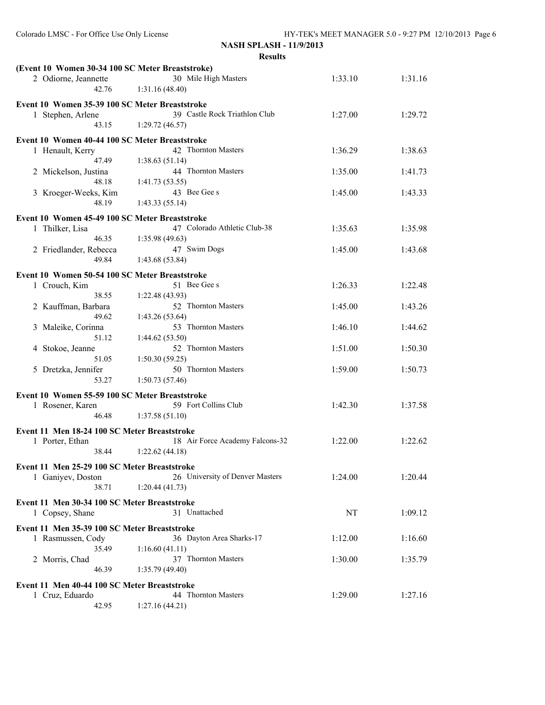| (Event 10 Women 30-34 100 SC Meter Breaststroke) |                                        |         |         |
|--------------------------------------------------|----------------------------------------|---------|---------|
| 2 Odiorne, Jeannette<br>42.76                    | 30 Mile High Masters<br>1:31.16(48.40) | 1:33.10 | 1:31.16 |
| Event 10 Women 35-39 100 SC Meter Breaststroke   |                                        |         |         |
| 1 Stephen, Arlene                                | 39 Castle Rock Triathlon Club          | 1:27.00 | 1:29.72 |
| 43.15                                            | 1:29.72(46.57)                         |         |         |
| Event 10 Women 40-44 100 SC Meter Breaststroke   |                                        |         |         |
| 1 Henault, Kerry                                 | 42 Thornton Masters                    | 1:36.29 | 1:38.63 |
| 47.49                                            | 1:38.63(51.14)                         |         |         |
| 2 Mickelson, Justina                             | 44 Thornton Masters                    | 1:35.00 | 1:41.73 |
| 48.18                                            | 1:41.73(53.55)                         |         |         |
| 3 Kroeger-Weeks, Kim                             | 43 Bee Gee s                           | 1:45.00 | 1:43.33 |
| 48.19                                            | 1:43.33(55.14)                         |         |         |
| Event 10 Women 45-49 100 SC Meter Breaststroke   |                                        |         |         |
| 1 Thilker, Lisa                                  | 47 Colorado Athletic Club-38           | 1:35.63 | 1:35.98 |
| 46.35                                            | 1:35.98 (49.63)                        |         |         |
| 2 Friedlander, Rebecca                           | 47 Swim Dogs                           | 1:45.00 | 1:43.68 |
| 49.84                                            | 1:43.68 (53.84)                        |         |         |
|                                                  |                                        |         |         |
| Event 10 Women 50-54 100 SC Meter Breaststroke   | 51 Bee Gee s                           | 1:26.33 | 1:22.48 |
| 1 Crouch, Kim<br>38.55                           | 1:22.48 (43.93)                        |         |         |
| 2 Kauffman, Barbara                              | 52 Thornton Masters                    | 1:45.00 | 1:43.26 |
| 49.62                                            | 1:43.26 (53.64)                        |         |         |
| 3 Maleike, Corinna                               | 53 Thornton Masters                    | 1:46.10 | 1:44.62 |
| 51.12                                            | 1:44.62(53.50)                         |         |         |
| 4 Stokoe, Jeanne                                 | 52 Thornton Masters                    | 1:51.00 | 1:50.30 |
| 51.05                                            | 1:50.30(59.25)                         |         |         |
| 5 Dretzka, Jennifer                              | 50 Thornton Masters                    | 1:59.00 | 1:50.73 |
| 53.27                                            | 1:50.73(57.46)                         |         |         |
| Event 10 Women 55-59 100 SC Meter Breaststroke   |                                        |         |         |
| 1 Rosener, Karen                                 | 59 Fort Collins Club                   | 1:42.30 | 1:37.58 |
| 46.48                                            | 1:37.58(51.10)                         |         |         |
|                                                  |                                        |         |         |
| Event 11 Men 18-24 100 SC Meter Breaststroke     |                                        |         |         |
| 1 Porter, Ethan                                  | 18 Air Force Academy Falcons-32        | 1:22.00 | 1:22.62 |
| 38.44                                            | 1:22.62(44.18)                         |         |         |
| Event 11 Men 25-29 100 SC Meter Breaststroke     |                                        |         |         |
| 1 Ganiyev, Doston                                | 26 University of Denver Masters        | 1:24.00 | 1:20.44 |
| 38.71                                            | 1:20.44(41.73)                         |         |         |
| Event 11 Men 30-34 100 SC Meter Breaststroke     |                                        |         |         |
| 1 Copsey, Shane                                  | 31 Unattached                          | NT      | 1:09.12 |
|                                                  |                                        |         |         |
| Event 11 Men 35-39 100 SC Meter Breaststroke     |                                        |         |         |
| 1 Rasmussen, Cody                                | 36 Dayton Area Sharks-17               | 1:12.00 | 1:16.60 |
| 35.49                                            | 1:16.60(41.11)<br>37 Thornton Masters  |         |         |
| 2 Morris, Chad<br>46.39                          | 1:35.79(49.40)                         | 1:30.00 | 1:35.79 |
|                                                  |                                        |         |         |
| Event 11 Men 40-44 100 SC Meter Breaststroke     |                                        |         |         |
| 1 Cruz, Eduardo                                  | 44 Thornton Masters                    | 1:29.00 | 1:27.16 |
| 42.95                                            | 1:27.16(44.21)                         |         |         |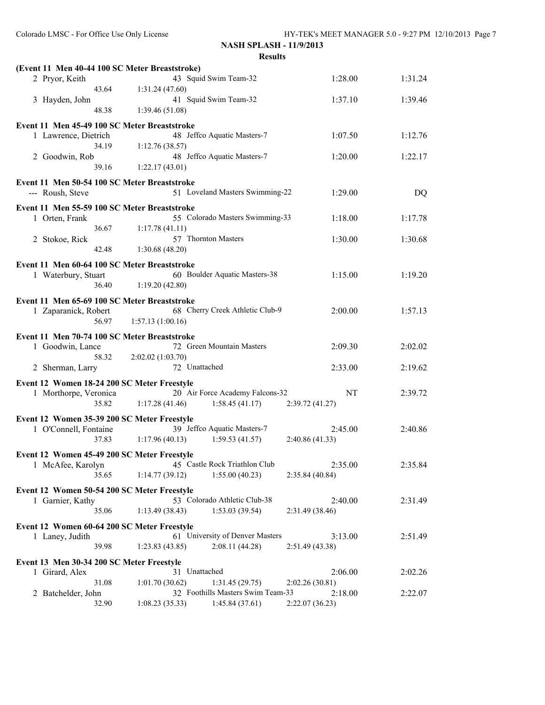| (Event 11 Men 40-44 100 SC Meter Breaststroke)                       |                                   |                 |         |
|----------------------------------------------------------------------|-----------------------------------|-----------------|---------|
| 2 Pryor, Keith                                                       | 43 Squid Swim Team-32             | 1:28.00         | 1:31.24 |
| 43.64                                                                | 1:31.24 (47.60)                   |                 |         |
| 3 Hayden, John                                                       | 41 Squid Swim Team-32             | 1:37.10         | 1:39.46 |
| 48.38                                                                | 1:39.46(51.08)                    |                 |         |
| Event 11 Men 45-49 100 SC Meter Breaststroke                         |                                   |                 |         |
| 1 Lawrence, Dietrich                                                 | 48 Jeffco Aquatic Masters-7       | 1:07.50         | 1:12.76 |
| 34.19                                                                | 1:12.76(38.57)                    |                 |         |
| 2 Goodwin, Rob                                                       | 48 Jeffco Aquatic Masters-7       | 1:20.00         | 1:22.17 |
| 39.16                                                                | 1:22.17(43.01)                    |                 |         |
| Event 11 Men 50-54 100 SC Meter Breaststroke                         |                                   |                 |         |
| --- Roush, Steve                                                     | 51 Loveland Masters Swimming-22   | 1:29.00         | DQ      |
|                                                                      |                                   |                 |         |
| Event 11 Men 55-59 100 SC Meter Breaststroke                         | 55 Colorado Masters Swimming-33   |                 |         |
| 1 Orten, Frank<br>36.67                                              | 1:17.78(41.11)                    | 1:18.00         | 1:17.78 |
| 2 Stokoe, Rick                                                       | 57 Thornton Masters               | 1:30.00         | 1:30.68 |
| 42.48                                                                | 1:30.68(48.20)                    |                 |         |
|                                                                      |                                   |                 |         |
| Event 11 Men 60-64 100 SC Meter Breaststroke                         |                                   |                 |         |
| 1 Waterbury, Stuart                                                  | 60 Boulder Aquatic Masters-38     | 1:15.00         | 1:19.20 |
| 36.40                                                                | 1:19.20(42.80)                    |                 |         |
| Event 11 Men 65-69 100 SC Meter Breaststroke                         |                                   |                 |         |
| 1 Zaparanick, Robert                                                 | 68 Cherry Creek Athletic Club-9   | 2:00.00         | 1:57.13 |
| 56.97                                                                | 1:57.13(1:00.16)                  |                 |         |
| Event 11 Men 70-74 100 SC Meter Breaststroke                         |                                   |                 |         |
| 1 Goodwin, Lance                                                     | 72 Green Mountain Masters         | 2:09.30         | 2:02.02 |
| 58.32                                                                | 2:02.02 (1:03.70)                 |                 |         |
| 2 Sherman, Larry                                                     | 72 Unattached                     | 2:33.00         | 2:19.62 |
|                                                                      |                                   |                 |         |
| Event 12 Women 18-24 200 SC Meter Freestyle<br>1 Morthorpe, Veronica | 20 Air Force Academy Falcons-32   | NT              | 2:39.72 |
| 35.82                                                                | 1:17.28(41.46)<br>1:58.45(41.17)  | 2:39.72(41.27)  |         |
|                                                                      |                                   |                 |         |
| Event 12 Women 35-39 200 SC Meter Freestyle                          |                                   |                 |         |
| 1 O'Connell, Fontaine                                                | 39 Jeffco Aquatic Masters-7       | 2:45.00         | 2:40.86 |
| 37.83                                                                | 1:17.96(40.13)<br>1:59.53(41.57)  | 2:40.86 (41.33) |         |
| Event 12 Women 45-49 200 SC Meter Freestyle                          |                                   |                 |         |
| 1 McAfee, Karolyn                                                    | 45 Castle Rock Triathlon Club     | 2:35.00         | 2:35.84 |
| 35.65                                                                | 1:14.77(39.12)<br>1:55.00(40.23)  | 2:35.84 (40.84) |         |
| Event 12 Women 50-54 200 SC Meter Freestyle                          |                                   |                 |         |
| 1 Garnier, Kathy                                                     | 53 Colorado Athletic Club-38      | 2:40.00         | 2:31.49 |
| 35.06                                                                | 1:53.03(39.54)<br>1:13.49(38.43)  | 2:31.49 (38.46) |         |
|                                                                      |                                   |                 |         |
| Event 12 Women 60-64 200 SC Meter Freestyle<br>1 Laney, Judith       | 61 University of Denver Masters   | 3:13.00         | 2:51.49 |
| 39.98                                                                | 1:23.83(43.85)<br>2:08.11(44.28)  | 2:51.49(43.38)  |         |
|                                                                      |                                   |                 |         |
| Event 13 Men 30-34 200 SC Meter Freestyle                            |                                   |                 |         |
| 1 Girard, Alex                                                       | 31 Unattached                     | 2:06.00         | 2:02.26 |
| 31.08                                                                | 1:01.70(30.62)<br>1:31.45(29.75)  | 2:02.26(30.81)  |         |
| 2 Batchelder, John                                                   | 32 Foothills Masters Swim Team-33 | 2:18.00         | 2:22.07 |
| 32.90                                                                | 1:08.23(35.33)<br>1:45.84(37.61)  | 2:22.07 (36.23) |         |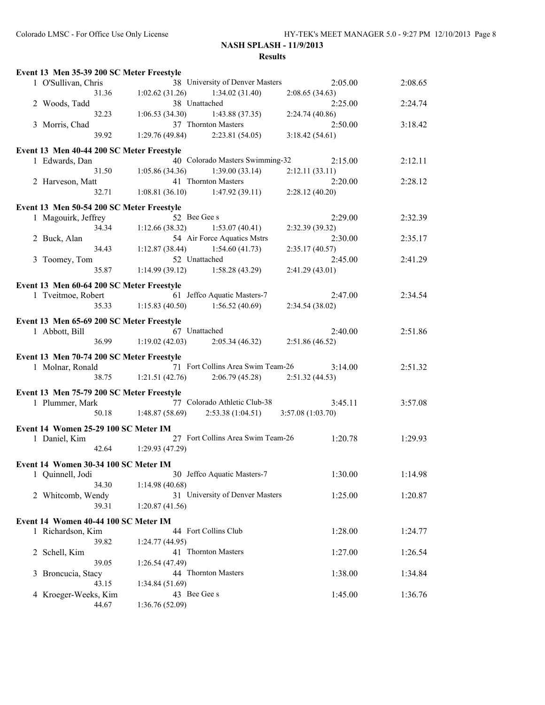| Event 13 Men 35-39 200 SC Meter Freestyle |                                                                                   |         |
|-------------------------------------------|-----------------------------------------------------------------------------------|---------|
| 1 O'Sullivan, Chris                       | 38 University of Denver Masters<br>2:05.00                                        | 2:08.65 |
| 31.36                                     | 1:02.62(31.26)<br>1:34.02(31.40)<br>2:08.65(34.63)                                |         |
| 2 Woods, Tadd                             | 38 Unattached<br>2:25.00                                                          | 2:24.74 |
| 32.23                                     | 1:06.53(34.30)<br>1:43.88(37.35)<br>2:24.74 (40.86)                               |         |
| 3 Morris, Chad                            | 37 Thornton Masters<br>2:50.00                                                    | 3:18.42 |
| 39.92                                     | 1:29.76(49.84)<br>2:23.81(54.05)<br>3:18.42(54.61)                                |         |
| Event 13 Men 40-44 200 SC Meter Freestyle |                                                                                   |         |
| 1 Edwards, Dan                            | 40 Colorado Masters Swimming-32<br>2:15.00                                        | 2:12.11 |
| 31.50                                     | 1:39.00(33.14)<br>1:05.86(34.36)<br>2:12.11(33.11)                                |         |
| 2 Harveson, Matt                          | 41 Thornton Masters<br>2:20.00                                                    | 2:28.12 |
| 32.71                                     | 1:08.81(36.10)<br>1:47.92(39.11)<br>2:28.12(40.20)                                |         |
|                                           |                                                                                   |         |
| Event 13 Men 50-54 200 SC Meter Freestyle | 52 Bee Gee s                                                                      |         |
| 1 Magouirk, Jeffrey                       | 2:29.00                                                                           | 2:32.39 |
| 34.34                                     | 1:12.66(38.32)<br>1:53.07(40.41)<br>2:32.39(39.32)<br>54 Air Force Aquatics Mstrs |         |
| 2 Buck, Alan<br>34.43                     | 2:30.00<br>1:12.87(38.44)<br>1:54.60(41.73)                                       | 2:35.17 |
|                                           | 2:35.17(40.57)<br>52 Unattached                                                   |         |
| 3 Toomey, Tom<br>35.87                    | 2:45.00<br>$1:14.99(39.12)$ $1:58.28(43.29)$<br>2:41.29(43.01)                    | 2:41.29 |
|                                           |                                                                                   |         |
| Event 13 Men 60-64 200 SC Meter Freestyle |                                                                                   |         |
| 1 Tveitmoe, Robert                        | 61 Jeffco Aquatic Masters-7<br>2:47.00                                            | 2:34.54 |
| 35.33                                     | 1:15.83(40.50)<br>1:56.52(40.69)<br>2:34.54 (38.02)                               |         |
| Event 13 Men 65-69 200 SC Meter Freestyle |                                                                                   |         |
| 1 Abbott, Bill                            | 67 Unattached<br>2:40.00                                                          | 2:51.86 |
| 36.99                                     | 1:19.02(42.03)<br>2:05.34(46.32)<br>2:51.86(46.52)                                |         |
| Event 13 Men 70-74 200 SC Meter Freestyle |                                                                                   |         |
| 1 Molnar, Ronald                          | 71 Fort Collins Area Swim Team-26<br>3:14.00                                      | 2:51.32 |
| 38.75                                     | 1:21.51(42.76)<br>2:06.79 (45.28)<br>2:51.32(44.53)                               |         |
|                                           |                                                                                   |         |
| Event 13 Men 75-79 200 SC Meter Freestyle |                                                                                   |         |
| 1 Plummer, Mark                           | 77 Colorado Athletic Club-38<br>3:45.11                                           | 3:57.08 |
| 50.18                                     | 1:48.87(58.69)<br>2:53.38(1:04.51)<br>3:57.08(1:03.70)                            |         |
| Event 14 Women 25-29 100 SC Meter IM      |                                                                                   |         |
| 1 Daniel, Kim                             | 27 Fort Collins Area Swim Team-26<br>1:20.78                                      | 1:29.93 |
|                                           | 42.64 1:29.93 (47.29)                                                             |         |
| Event 14 Women 30-34 100 SC Meter IM      |                                                                                   |         |
| 1 Quinnell, Jodi                          | 30 Jeffco Aquatic Masters-7<br>1:30.00                                            | 1:14.98 |
| 34.30                                     | 1:14.98(40.68)                                                                    |         |
| 2 Whitcomb, Wendy                         | 31 University of Denver Masters<br>1:25.00                                        | 1:20.87 |
| 39.31                                     | 1:20.87(41.56)                                                                    |         |
| Event 14 Women 40-44 100 SC Meter IM      |                                                                                   |         |
| 1 Richardson, Kim                         | 44 Fort Collins Club<br>1:28.00                                                   | 1:24.77 |
| 39.82                                     | 1:24.77(44.95)                                                                    |         |
| 2 Schell, Kim                             | 41 Thornton Masters<br>1:27.00                                                    | 1:26.54 |
| 39.05                                     | 1:26.54(47.49)                                                                    |         |
| Broncucia, Stacy<br>3                     | 44 Thornton Masters<br>1:38.00                                                    | 1:34.84 |
| 43.15                                     | 1:34.84(51.69)                                                                    |         |
| 4 Kroeger-Weeks, Kim                      | 43 Bee Gee s<br>1:45.00                                                           | 1:36.76 |
| 44.67                                     | 1:36.76 (52.09)                                                                   |         |
|                                           |                                                                                   |         |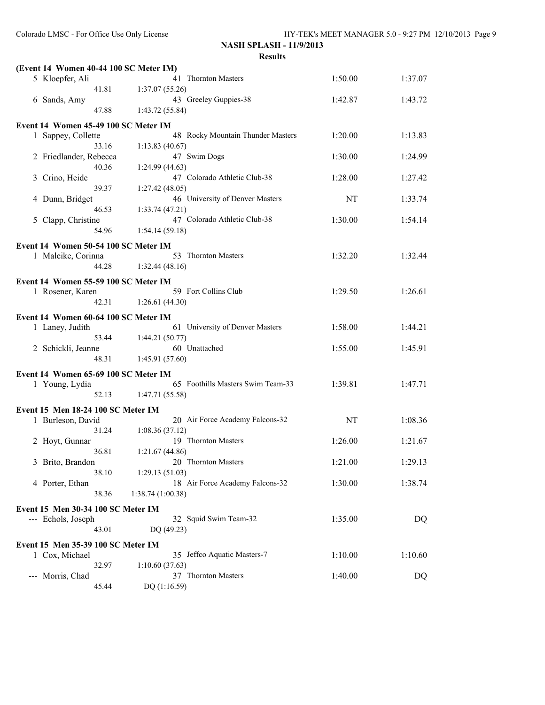| (Event 14 Women 40-44 100 SC Meter IM) |                                   |         |         |
|----------------------------------------|-----------------------------------|---------|---------|
| 5 Kloepfer, Ali                        | 41 Thornton Masters               | 1:50.00 | 1:37.07 |
| 41.81                                  | 1:37.07(55.26)                    |         |         |
| 6 Sands, Amy                           | 43 Greeley Guppies-38             | 1:42.87 | 1:43.72 |
| 47.88                                  | 1:43.72 (55.84)                   |         |         |
|                                        |                                   |         |         |
| Event 14 Women 45-49 100 SC Meter IM   |                                   |         |         |
| 1 Sappey, Collette                     | 48 Rocky Mountain Thunder Masters | 1:20.00 | 1:13.83 |
| 33.16                                  | 1:13.83(40.67)                    |         |         |
| 2 Friedlander, Rebecca                 | 47 Swim Dogs                      | 1:30.00 | 1:24.99 |
| 40.36                                  | 1:24.99(44.63)                    |         |         |
| 3 Crino, Heide                         | 47 Colorado Athletic Club-38      | 1:28.00 | 1:27.42 |
| 39.37                                  | 1:27.42(48.05)                    |         |         |
| 4 Dunn, Bridget                        | 46 University of Denver Masters   | NT      | 1:33.74 |
| 46.53                                  | 1:33.74(47.21)                    |         |         |
| 5 Clapp, Christine                     | 47 Colorado Athletic Club-38      | 1:30.00 | 1:54.14 |
| 54.96                                  | 1:54.14(59.18)                    |         |         |
| Event 14 Women 50-54 100 SC Meter IM   |                                   |         |         |
| 1 Maleike, Corinna                     | 53 Thornton Masters               | 1:32.20 | 1:32.44 |
| 44.28                                  | 1:32.44(48.16)                    |         |         |
|                                        |                                   |         |         |
| Event 14 Women 55-59 100 SC Meter IM   |                                   |         |         |
| 1 Rosener, Karen                       | 59 Fort Collins Club              | 1:29.50 | 1:26.61 |
| 42.31                                  | 1:26.61(44.30)                    |         |         |
| Event 14 Women 60-64 100 SC Meter IM   |                                   |         |         |
| 1 Laney, Judith                        | 61 University of Denver Masters   | 1:58.00 | 1:44.21 |
| 53.44                                  | 1:44.21(50.77)                    |         |         |
| 2 Schickli, Jeanne                     | 60 Unattached                     | 1:55.00 | 1:45.91 |
| 48.31                                  | 1:45.91(57.60)                    |         |         |
|                                        |                                   |         |         |
| Event 14 Women 65-69 100 SC Meter IM   |                                   |         |         |
| 1 Young, Lydia                         | 65 Foothills Masters Swim Team-33 | 1:39.81 | 1:47.71 |
| 52.13                                  | 1:47.71(55.58)                    |         |         |
| Event 15 Men 18-24 100 SC Meter IM     |                                   |         |         |
| 1 Burleson, David                      | 20 Air Force Academy Falcons-32   | NT      | 1:08.36 |
| 31.24                                  | 1:08.36(37.12)                    |         |         |
| 2 Hoyt, Gunnar                         | 19 Thornton Masters               | 1:26.00 | 1:21.67 |
| 36.81                                  | 1:21.67(44.86)                    |         |         |
| 3 Brito, Brandon                       | 20 Thornton Masters               | 1:21.00 | 1:29.13 |
| 38.10                                  | 1:29.13(51.03)                    |         |         |
| 4 Porter, Ethan                        | 18 Air Force Academy Falcons-32   | 1:30.00 | 1:38.74 |
| 38.36                                  |                                   |         |         |
|                                        | 1:38.74(1:00.38)                  |         |         |
| Event 15 Men 30-34 100 SC Meter IM     |                                   |         |         |
| --- Echols, Joseph                     | 32 Squid Swim Team-32             | 1:35.00 | DQ      |
| 43.01                                  | DQ (49.23)                        |         |         |
| Event 15 Men 35-39 100 SC Meter IM     |                                   |         |         |
| 1 Cox, Michael                         | 35 Jeffco Aquatic Masters-7       | 1:10.00 | 1:10.60 |
| 32.97                                  | 1:10.60(37.63)                    |         |         |
| --- Morris, Chad                       | 37 Thornton Masters               | 1:40.00 | $DQ$    |
| 45.44                                  | DQ (1:16.59)                      |         |         |
|                                        |                                   |         |         |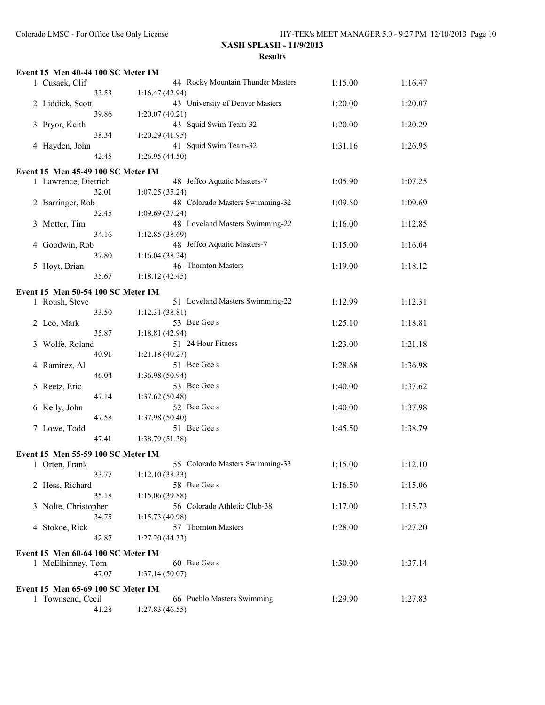|   | Event 15 Men 40-44 100 SC Meter IM                   |                          |                                   |         |         |
|---|------------------------------------------------------|--------------------------|-----------------------------------|---------|---------|
|   | 1 Cusack, Clif                                       |                          | 44 Rocky Mountain Thunder Masters | 1:15.00 | 1:16.47 |
|   |                                                      | 33.53<br>1:16.47(42.94)  |                                   |         |         |
|   | 2 Liddick, Scott                                     |                          | 43 University of Denver Masters   | 1:20.00 | 1:20.07 |
|   |                                                      | 39.86<br>1:20.07(40.21)  |                                   |         |         |
|   | 3 Pryor, Keith                                       |                          | 43 Squid Swim Team-32             | 1:20.00 | 1:20.29 |
|   |                                                      | 38.34<br>1:20.29(41.95)  |                                   |         |         |
|   | 4 Hayden, John                                       |                          | 41 Squid Swim Team-32             | 1:31.16 | 1:26.95 |
|   |                                                      | 42.45<br>1:26.95(44.50)  |                                   |         |         |
|   | Event 15 Men 45-49 100 SC Meter IM                   |                          |                                   |         |         |
|   | 1 Lawrence, Dietrich                                 |                          | 48 Jeffco Aquatic Masters-7       | 1:05.90 | 1:07.25 |
|   |                                                      | 32.01<br>1:07.25(35.24)  |                                   |         |         |
|   | 2 Barringer, Rob                                     |                          | 48 Colorado Masters Swimming-32   | 1:09.50 | 1:09.69 |
|   |                                                      | 32.45<br>1:09.69 (37.24) |                                   |         |         |
| 3 | Motter, Tim                                          |                          | 48 Loveland Masters Swimming-22   | 1:16.00 | 1:12.85 |
|   |                                                      | 34.16<br>1:12.85(38.69)  |                                   |         |         |
| 4 | Goodwin, Rob                                         |                          | 48 Jeffco Aquatic Masters-7       | 1:15.00 | 1:16.04 |
|   |                                                      | 37.80<br>1:16.04(38.24)  |                                   |         |         |
|   | 5 Hoyt, Brian                                        |                          | 46 Thornton Masters               | 1:19.00 | 1:18.12 |
|   |                                                      | 35.67<br>1:18.12(42.45)  |                                   |         |         |
|   | Event 15 Men 50-54 100 SC Meter IM                   |                          |                                   |         |         |
|   | 1 Roush, Steve                                       |                          | 51 Loveland Masters Swimming-22   | 1:12.99 | 1:12.31 |
|   |                                                      | 33.50<br>1:12.31(38.81)  |                                   |         |         |
|   | 2 Leo, Mark                                          |                          | 53 Bee Gee s                      | 1:25.10 | 1:18.81 |
|   |                                                      | 35.87<br>1:18.81(42.94)  |                                   |         |         |
| 3 | Wolfe, Roland                                        |                          | 51 24 Hour Fitness                | 1:23.00 | 1:21.18 |
|   |                                                      | 40.91<br>1:21.18(40.27)  |                                   |         |         |
| 4 | Ramirez, Al                                          |                          | 51 Bee Gee s                      | 1:28.68 | 1:36.98 |
|   |                                                      | 46.04<br>1:36.98 (50.94) | 53 Bee Gee s                      |         |         |
| 5 | Reetz, Eric                                          | 47.14<br>1:37.62(50.48)  |                                   | 1:40.00 | 1:37.62 |
|   | 6 Kelly, John                                        |                          | 52 Bee Gee s                      | 1:40.00 | 1:37.98 |
|   |                                                      | 47.58<br>1:37.98 (50.40) |                                   |         |         |
|   | 7 Lowe, Todd                                         |                          | 51 Bee Gee s                      | 1:45.50 | 1:38.79 |
|   |                                                      | 47.41<br>1:38.79(51.38)  |                                   |         |         |
|   |                                                      |                          |                                   |         |         |
|   | Event 15 Men 55-59 100 SC Meter IM<br>1 Orten, Frank |                          | 55 Colorado Masters Swimming-33   | 1:15.00 | 1:12.10 |
|   |                                                      | 33.77<br>1:12.10(38.33)  |                                   |         |         |
|   | 2 Hess, Richard                                      |                          | 58 Bee Gee s                      | 1:16.50 | 1:15.06 |
|   |                                                      | 35.18<br>1:15.06(39.88)  |                                   |         |         |
|   | 3 Nolte, Christopher                                 |                          | 56 Colorado Athletic Club-38      | 1:17.00 | 1:15.73 |
|   |                                                      | 34.75<br>1:15.73(40.98)  |                                   |         |         |
|   | 4 Stokoe, Rick                                       |                          | 57 Thornton Masters               | 1:28.00 | 1:27.20 |
|   |                                                      | 42.87<br>1:27.20(44.33)  |                                   |         |         |
|   | Event 15 Men 60-64 100 SC Meter IM                   |                          |                                   |         |         |
|   | 1 McElhinney, Tom                                    |                          | 60 Bee Gee s                      | 1:30.00 | 1:37.14 |
|   |                                                      | 47.07<br>1:37.14(50.07)  |                                   |         |         |
|   |                                                      |                          |                                   |         |         |
|   | Event 15 Men 65-69 100 SC Meter IM                   |                          | 66 Pueblo Masters Swimming        |         |         |
|   | 1 Townsend, Cecil                                    | 41.28<br>1:27.83(46.55)  |                                   | 1:29.90 | 1:27.83 |
|   |                                                      |                          |                                   |         |         |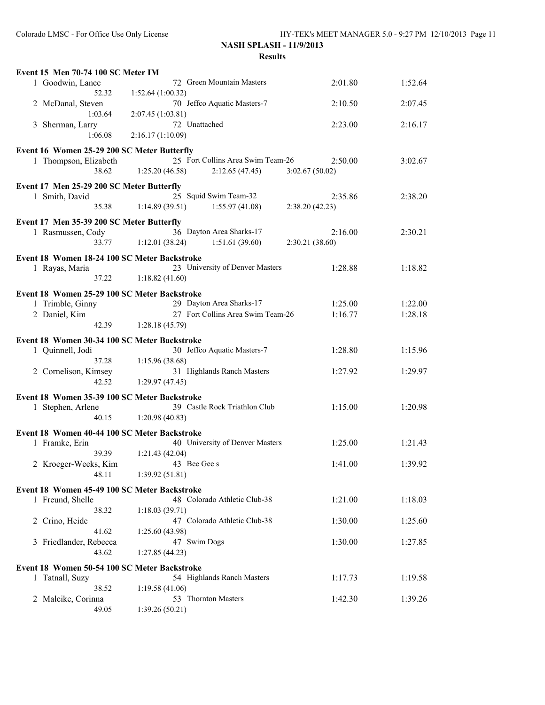| Event 15 Men 70-74 100 SC Meter IM                               |                                                                       |                           |         |
|------------------------------------------------------------------|-----------------------------------------------------------------------|---------------------------|---------|
| 1 Goodwin, Lance                                                 | 72 Green Mountain Masters                                             | 2:01.80                   | 1:52.64 |
| 52.32<br>2 McDanal, Steven                                       | 1:52.64 (1:00.32)<br>70 Jeffco Aquatic Masters-7                      | 2:10.50                   | 2:07.45 |
| 1:03.64                                                          | 2:07.45 (1:03.81)                                                     |                           |         |
| 3 Sherman, Larry                                                 | 72 Unattached                                                         | 2:23.00                   | 2:16.17 |
| 1:06.08                                                          | 2:16.17(1:10.09)                                                      |                           |         |
| Event 16 Women 25-29 200 SC Meter Butterfly                      |                                                                       |                           |         |
| 1 Thompson, Elizabeth<br>38.62                                   | 25 Fort Collins Area Swim Team-26<br>1:25.20(46.58)<br>2:12.65(47.45) | 2:50.00<br>3:02.67(50.02) | 3:02.67 |
|                                                                  |                                                                       |                           |         |
| Event 17 Men 25-29 200 SC Meter Butterfly<br>1 Smith, David      | 25 Squid Swim Team-32                                                 | 2:35.86                   | 2:38.20 |
| 35.38                                                            | 1:14.89(39.51)<br>1:55.97(41.08)                                      | 2:38.20(42.23)            |         |
| Event 17 Men 35-39 200 SC Meter Butterfly                        |                                                                       |                           |         |
| 1 Rasmussen, Cody                                                | 36 Dayton Area Sharks-17                                              | 2:16.00                   | 2:30.21 |
| 33.77                                                            | 1:12.01(38.24)<br>1:51.61(39.60)                                      | 2:30.21(38.60)            |         |
| Event 18 Women 18-24 100 SC Meter Backstroke                     |                                                                       |                           |         |
| 1 Rayas, Maria                                                   | 23 University of Denver Masters                                       | 1:28.88                   | 1:18.82 |
| 37.22                                                            | 1:18.82(41.60)                                                        |                           |         |
| Event 18 Women 25-29 100 SC Meter Backstroke                     |                                                                       |                           |         |
| 1 Trimble, Ginny                                                 | 29 Dayton Area Sharks-17                                              | 1:25.00                   | 1:22.00 |
| 2 Daniel, Kim<br>42.39                                           | 27 Fort Collins Area Swim Team-26<br>1:28.18(45.79)                   | 1:16.77                   | 1:28.18 |
|                                                                  |                                                                       |                           |         |
| Event 18 Women 30-34 100 SC Meter Backstroke<br>1 Quinnell, Jodi | 30 Jeffco Aquatic Masters-7                                           | 1:28.80                   | 1:15.96 |
| 37.28                                                            | 1:15.96(38.68)                                                        |                           |         |
| 2 Cornelison, Kimsey                                             | 31 Highlands Ranch Masters                                            | 1:27.92                   | 1:29.97 |
| 42.52                                                            | 1:29.97(47.45)                                                        |                           |         |
| Event 18 Women 35-39 100 SC Meter Backstroke                     |                                                                       |                           |         |
| 1 Stephen, Arlene                                                | 39 Castle Rock Triathlon Club                                         | 1:15.00                   | 1:20.98 |
| 40.15                                                            | 1:20.98(40.83)                                                        |                           |         |
| Event 18 Women 40-44 100 SC Meter Backstroke                     |                                                                       |                           |         |
| 1 Framke, Erin<br>39.39                                          | 40 University of Denver Masters<br>1:21.43(42.04)                     | 1:25.00                   | 1:21.43 |
| 2 Kroeger-Weeks, Kim                                             | 43 Bee Gee s                                                          | 1:41.00                   | 1:39.92 |
| 48.11                                                            | 1:39.92(51.81)                                                        |                           |         |
| Event 18 Women 45-49 100 SC Meter Backstroke                     |                                                                       |                           |         |
| 1 Freund, Shelle                                                 | 48 Colorado Athletic Club-38                                          | 1:21.00                   | 1:18.03 |
| 38.32                                                            | 1:18.03(39.71)                                                        |                           |         |
| 2 Crino, Heide                                                   | 47 Colorado Athletic Club-38                                          | 1:30.00                   | 1:25.60 |
| 41.62<br>3 Friedlander, Rebecca                                  | 1:25.60(43.98)<br>47 Swim Dogs                                        | 1:30.00                   | 1:27.85 |
| 43.62                                                            | 1:27.85(44.23)                                                        |                           |         |
| Event 18 Women 50-54 100 SC Meter Backstroke                     |                                                                       |                           |         |
| 1 Tatnall, Suzy                                                  | 54 Highlands Ranch Masters                                            | 1:17.73                   | 1:19.58 |
| 38.52                                                            | 1:19.58(41.06)                                                        |                           |         |
| 2 Maleike, Corinna                                               | 53 Thornton Masters                                                   | 1:42.30                   | 1:39.26 |
| 49.05                                                            | 1:39.26(50.21)                                                        |                           |         |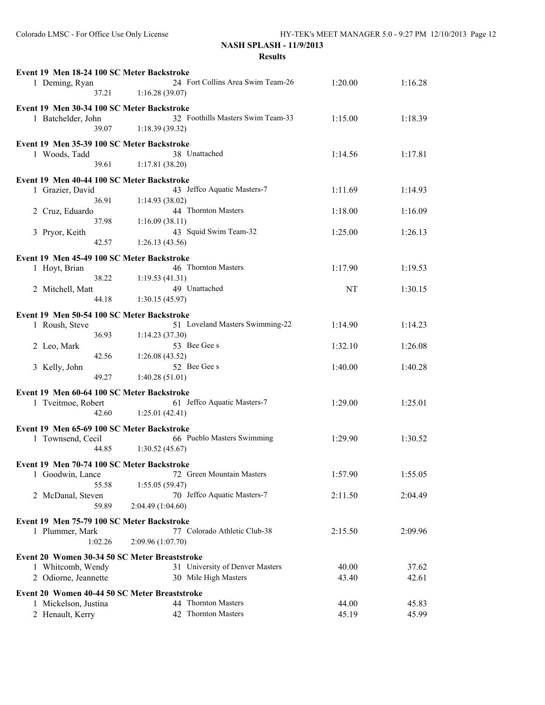| Event 19 Men 18-24 100 SC Meter Backstroke |                                               |                   |                                   |         |         |
|--------------------------------------------|-----------------------------------------------|-------------------|-----------------------------------|---------|---------|
|                                            | 1 Deming, Ryan                                |                   | 24 Fort Collins Area Swim Team-26 | 1:20.00 | 1:16.28 |
|                                            | 37.21                                         | 1:16.28(39.07)    |                                   |         |         |
|                                            | Event 19 Men 30-34 100 SC Meter Backstroke    |                   |                                   |         |         |
|                                            | 1 Batchelder, John                            |                   | 32 Foothills Masters Swim Team-33 | 1:15.00 | 1:18.39 |
|                                            | 39.07                                         | 1:18.39(39.32)    |                                   |         |         |
|                                            |                                               |                   |                                   |         |         |
|                                            | Event 19 Men 35-39 100 SC Meter Backstroke    |                   |                                   |         |         |
|                                            | 1 Woods, Tadd                                 |                   | 38 Unattached                     | 1:14.56 | 1:17.81 |
|                                            | 39.61                                         | 1:17.81(38.20)    |                                   |         |         |
|                                            | Event 19 Men 40-44 100 SC Meter Backstroke    |                   |                                   |         |         |
|                                            | 1 Grazier, David                              |                   | 43 Jeffco Aquatic Masters-7       | 1:11.69 | 1:14.93 |
|                                            | 36.91                                         | 1:14.93(38.02)    |                                   |         |         |
|                                            | 2 Cruz, Eduardo                               |                   | 44 Thornton Masters               | 1:18.00 | 1:16.09 |
|                                            | 37.98                                         | 1:16.09(38.11)    |                                   |         |         |
|                                            |                                               |                   | 43 Squid Swim Team-32             | 1:25.00 | 1:26.13 |
|                                            | 3 Pryor, Keith<br>42.57                       |                   |                                   |         |         |
|                                            |                                               | 1:26.13(43.56)    |                                   |         |         |
|                                            | Event 19 Men 45-49 100 SC Meter Backstroke    |                   |                                   |         |         |
|                                            | 1 Hoyt, Brian                                 |                   | 46 Thornton Masters               | 1:17.90 | 1:19.53 |
|                                            | 38.22                                         | 1:19.53(41.31)    |                                   |         |         |
|                                            | 2 Mitchell, Matt                              |                   | 49 Unattached                     | NT      | 1:30.15 |
|                                            | 44.18                                         | 1:30.15(45.97)    |                                   |         |         |
|                                            | Event 19 Men 50-54 100 SC Meter Backstroke    |                   |                                   |         |         |
|                                            | 1 Roush, Steve                                |                   | 51 Loveland Masters Swimming-22   | 1:14.90 | 1:14.23 |
|                                            | 36.93                                         | 1:14.23(37.30)    |                                   |         |         |
|                                            |                                               |                   | 53 Bee Gee s                      | 1:32.10 | 1:26.08 |
|                                            | 2 Leo, Mark<br>42.56                          | 1:26.08(43.52)    |                                   |         |         |
|                                            | 3 Kelly, John                                 |                   | 52 Bee Gee s                      | 1:40.00 | 1:40.28 |
|                                            | 49.27                                         | 1:40.28(51.01)    |                                   |         |         |
|                                            |                                               |                   |                                   |         |         |
|                                            | Event 19 Men 60-64 100 SC Meter Backstroke    |                   |                                   |         |         |
|                                            | 1 Tveitmoe, Robert                            |                   | 61 Jeffco Aquatic Masters-7       | 1:29.00 | 1:25.01 |
|                                            | 42.60                                         | 1:25.01(42.41)    |                                   |         |         |
|                                            | Event 19 Men 65-69 100 SC Meter Backstroke    |                   |                                   |         |         |
|                                            | 1 Townsend, Cecil                             |                   | 66 Pueblo Masters Swimming        | 1:29.90 | 1:30.52 |
|                                            | 44.85                                         | 1:30.52(45.67)    |                                   |         |         |
|                                            |                                               |                   |                                   |         |         |
|                                            | Event 19 Men 70-74 100 SC Meter Backstroke    |                   |                                   |         |         |
|                                            | 1 Goodwin, Lance                              |                   | 72 Green Mountain Masters         | 1:57.90 | 1:55.05 |
|                                            | 55.58                                         | 1:55.05(59.47)    |                                   |         |         |
|                                            | 2 McDanal, Steven                             |                   | 70 Jeffco Aquatic Masters-7       | 2:11.50 | 2:04.49 |
|                                            | 59.89                                         | 2:04.49 (1:04.60) |                                   |         |         |
|                                            | Event 19 Men 75-79 100 SC Meter Backstroke    |                   |                                   |         |         |
|                                            | 1 Plummer, Mark                               |                   | 77 Colorado Athletic Club-38      | 2:15.50 | 2:09.96 |
|                                            | 1:02.26                                       | 2:09.96 (1:07.70) |                                   |         |         |
|                                            |                                               |                   |                                   |         |         |
|                                            | Event 20 Women 30-34 50 SC Meter Breaststroke |                   |                                   |         |         |
|                                            | 1 Whitcomb, Wendy                             |                   | 31 University of Denver Masters   | 40.00   | 37.62   |
|                                            | 2 Odiorne, Jeannette                          |                   | 30 Mile High Masters              | 43.40   | 42.61   |
|                                            | Event 20 Women 40-44 50 SC Meter Breaststroke |                   |                                   |         |         |
|                                            | 1 Mickelson, Justina                          |                   | 44 Thornton Masters               | 44.00   | 45.83   |
|                                            | 2 Henault, Kerry                              |                   | 42 Thornton Masters               | 45.19   | 45.99   |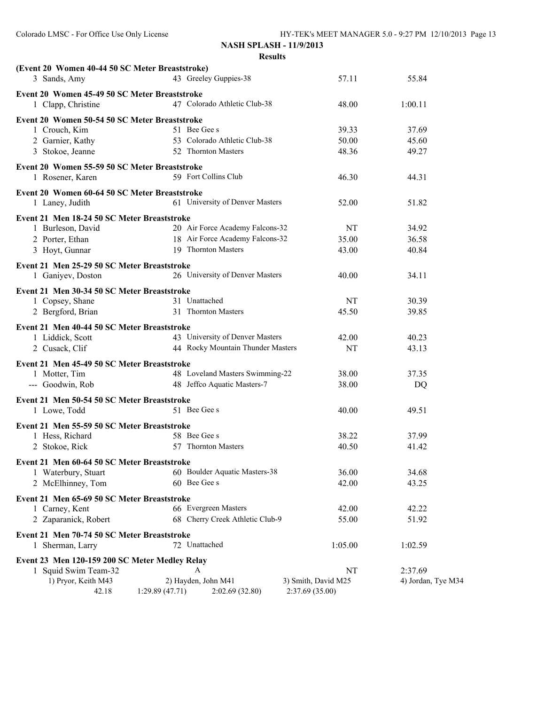| (Event 20 Women 40-44 50 SC Meter Breaststroke)<br>3 Sands, Amy     | 43 Greeley Guppies-38             | 57.11               | 55.84              |
|---------------------------------------------------------------------|-----------------------------------|---------------------|--------------------|
| Event 20 Women 45-49 50 SC Meter Breaststroke<br>1 Clapp, Christine | 47 Colorado Athletic Club-38      | 48.00               | 1:00.11            |
| Event 20 Women 50-54 50 SC Meter Breaststroke                       |                                   |                     |                    |
| 1 Crouch, Kim                                                       | 51 Bee Gee s                      | 39.33               | 37.69              |
| 2 Garnier, Kathy                                                    | 53 Colorado Athletic Club-38      | 50.00               | 45.60              |
| 3 Stokoe, Jeanne                                                    | 52 Thornton Masters               | 48.36               | 49.27              |
| Event 20 Women 55-59 50 SC Meter Breaststroke                       |                                   |                     |                    |
| 1 Rosener, Karen                                                    | 59 Fort Collins Club              | 46.30               | 44.31              |
| Event 20 Women 60-64 50 SC Meter Breaststroke                       |                                   |                     |                    |
| 1 Laney, Judith                                                     | 61 University of Denver Masters   | 52.00               | 51.82              |
| Event 21 Men 18-24 50 SC Meter Breaststroke                         |                                   |                     |                    |
| 1 Burleson, David                                                   | 20 Air Force Academy Falcons-32   | NT                  | 34.92              |
| 2 Porter, Ethan                                                     | 18 Air Force Academy Falcons-32   | 35.00               | 36.58              |
| 3 Hoyt, Gunnar                                                      | 19 Thornton Masters               | 43.00               | 40.84              |
| Event 21 Men 25-29 50 SC Meter Breaststroke                         |                                   |                     |                    |
| 1 Ganiyev, Doston                                                   | 26 University of Denver Masters   | 40.00               | 34.11              |
| Event 21 Men 30-34 50 SC Meter Breaststroke                         |                                   |                     |                    |
| 1 Copsey, Shane                                                     | 31 Unattached                     | NT                  | 30.39              |
| 2 Bergford, Brian                                                   | 31 Thornton Masters               | 45.50               | 39.85              |
|                                                                     |                                   |                     |                    |
| Event 21 Men 40-44 50 SC Meter Breaststroke                         |                                   |                     |                    |
| 1 Liddick, Scott                                                    | 43 University of Denver Masters   | 42.00               | 40.23              |
| 2 Cusack, Clif                                                      | 44 Rocky Mountain Thunder Masters | NT                  | 43.13              |
| Event 21 Men 45-49 50 SC Meter Breaststroke                         |                                   |                     |                    |
| 1 Motter, Tim                                                       | 48 Loveland Masters Swimming-22   | 38.00               | 37.35              |
| --- Goodwin, Rob                                                    | 48 Jeffco Aquatic Masters-7       | 38.00               | DQ                 |
| Event 21 Men 50-54 50 SC Meter Breaststroke                         |                                   |                     |                    |
| 1 Lowe, Todd                                                        | 51 Bee Gee s                      | 40.00               | 49.51              |
| Event 21 Men 55-59 50 SC Meter Breaststroke                         |                                   |                     |                    |
| 1 Hess, Richard                                                     | 58 Bee Gee s                      | 38.22               | 37.99              |
| 2 Stokoe, Rick                                                      | 57 Thornton Masters               | 40.50               | 41.42              |
| Event 21 Men 60-64 50 SC Meter Breaststroke                         |                                   |                     |                    |
| 1 Waterbury, Stuart                                                 | 60 Boulder Aquatic Masters-38     | 36.00               | 34.68              |
| 2 McElhinney, Tom                                                   | 60 Bee Gee s                      | 42.00               | 43.25              |
|                                                                     |                                   |                     |                    |
| Event 21 Men 65-69 50 SC Meter Breaststroke<br>1 Carney, Kent       | 66 Evergreen Masters              |                     | 42.22              |
| 2 Zaparanick, Robert                                                | 68 Cherry Creek Athletic Club-9   | 42.00<br>55.00      | 51.92              |
|                                                                     |                                   |                     |                    |
| Event 21 Men 70-74 50 SC Meter Breaststroke                         |                                   |                     |                    |
| 1 Sherman, Larry                                                    | 72 Unattached                     | 1:05.00             | 1:02.59            |
| Event 23 Men 120-159 200 SC Meter Medley Relay                      |                                   |                     |                    |
| 1 Squid Swim Team-32                                                | A                                 | NT                  | 2:37.69            |
| 1) Pryor, Keith M43                                                 | 2) Hayden, John M41               | 3) Smith, David M25 | 4) Jordan, Tye M34 |
| 42.18                                                               | 1:29.89(47.71)<br>2:02.69(32.80)  | 2:37.69 (35.00)     |                    |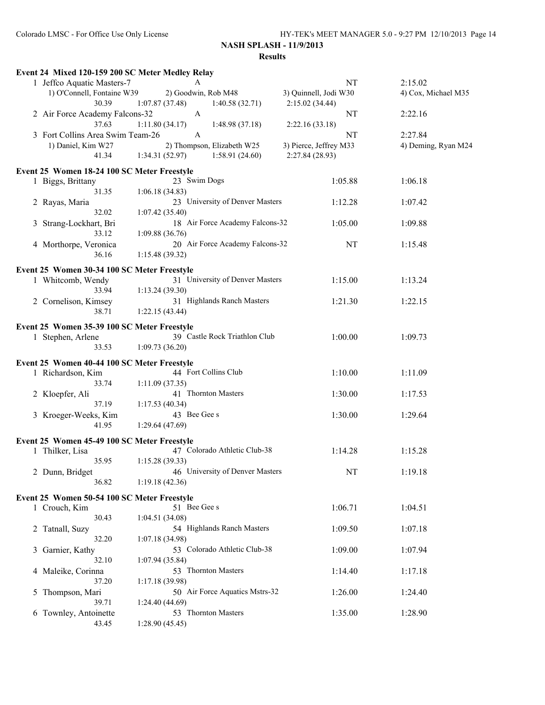|                | Event 24 Mixed 120-159 200 SC Meter Medley Relay |                 |                                 |                        |                     |
|----------------|--------------------------------------------------|-----------------|---------------------------------|------------------------|---------------------|
|                | 1 Jeffco Aquatic Masters-7                       |                 | A                               | <b>NT</b>              | 2:15.02             |
|                | 1) O'Connell, Fontaine W39                       |                 | 2) Goodwin, Rob M48             | 3) Quinnell, Jodi W30  | 4) Cox, Michael M35 |
|                | 30.39                                            | 1:07.87(37.48)  | 1:40.58(32.71)                  | 2:15.02(34.44)         |                     |
|                | 2 Air Force Academy Falcons-32                   |                 | $\mathbf{A}$                    | NT                     | 2:22.16             |
|                | 37.63                                            | 1:11.80(34.17)  | 1:48.98(37.18)                  | 2:22.16(33.18)         |                     |
|                | 3 Fort Collins Area Swim Team-26                 |                 | A                               | NT                     | 2:27.84             |
|                | 1) Daniel, Kim W27                               |                 | 2) Thompson, Elizabeth W25      | 3) Pierce, Jeffrey M33 | 4) Deming, Ryan M24 |
|                | 41.34                                            | 1:34.31(52.97)  | 1:58.91(24.60)                  | 2:27.84 (28.93)        |                     |
|                |                                                  |                 |                                 |                        |                     |
|                | Event 25 Women 18-24 100 SC Meter Freestyle      |                 |                                 |                        |                     |
|                | 1 Biggs, Brittany                                |                 | 23 Swim Dogs                    | 1:05.88                | 1:06.18             |
|                | 31.35                                            | 1:06.18(34.83)  |                                 |                        |                     |
|                | 2 Rayas, Maria                                   |                 | 23 University of Denver Masters | 1:12.28                | 1:07.42             |
|                | 32.02                                            | 1:07.42(35.40)  |                                 |                        |                     |
| 3              | Strang-Lockhart, Bri                             |                 | 18 Air Force Academy Falcons-32 | 1:05.00                | 1:09.88             |
|                | 33.12                                            | 1:09.88(36.76)  |                                 |                        |                     |
|                | 4 Morthorpe, Veronica                            |                 | 20 Air Force Academy Falcons-32 | NT                     | 1:15.48             |
|                | 36.16                                            | 1:15.48(39.32)  |                                 |                        |                     |
|                |                                                  |                 |                                 |                        |                     |
|                | Event 25 Women 30-34 100 SC Meter Freestyle      |                 |                                 |                        |                     |
|                | 1 Whitcomb, Wendy                                |                 | 31 University of Denver Masters | 1:15.00                | 1:13.24             |
|                | 33.94                                            | 1:13.24(39.30)  |                                 |                        |                     |
|                | 2 Cornelison, Kimsey                             |                 | 31 Highlands Ranch Masters      | 1:21.30                | 1:22.15             |
|                | 38.71                                            | 1:22.15(43.44)  |                                 |                        |                     |
|                | Event 25 Women 35-39 100 SC Meter Freestyle      |                 |                                 |                        |                     |
|                | 1 Stephen, Arlene                                |                 | 39 Castle Rock Triathlon Club   | 1:00.00                | 1:09.73             |
|                | 33.53                                            |                 |                                 |                        |                     |
|                |                                                  | 1:09.73(36.20)  |                                 |                        |                     |
|                | Event 25 Women 40-44 100 SC Meter Freestyle      |                 |                                 |                        |                     |
|                | 1 Richardson, Kim                                |                 | 44 Fort Collins Club            | 1:10.00                | 1:11.09             |
|                | 33.74                                            | 1:11.09(37.35)  |                                 |                        |                     |
|                | 2 Kloepfer, Ali                                  |                 | 41 Thornton Masters             | 1:30.00                | 1:17.53             |
|                | 37.19                                            | 1:17.53(40.34)  |                                 |                        |                     |
|                | 3 Kroeger-Weeks, Kim                             |                 | 43 Bee Gee s                    | 1:30.00                | 1:29.64             |
|                | 41.95                                            | 1:29.64(47.69)  |                                 |                        |                     |
|                |                                                  |                 |                                 |                        |                     |
|                | Event 25 Women 45-49 100 SC Meter Freestyle      |                 |                                 |                        |                     |
|                | 1 Thilker, Lisa                                  |                 | 47 Colorado Athletic Club-38    | 1:14.28                | 1:15.28             |
|                | 35.95                                            | 1:15.28(39.33)  |                                 |                        |                     |
|                | 2 Dunn, Bridget                                  |                 | 46 University of Denver Masters | NT                     | 1:19.18             |
|                | 36.82                                            | 1:19.18(42.36)  |                                 |                        |                     |
|                |                                                  |                 |                                 |                        |                     |
|                | Event 25 Women 50-54 100 SC Meter Freestyle      |                 |                                 |                        |                     |
|                | 1 Crouch, Kim                                    |                 | 51 Bee Gee s                    | 1:06.71                | 1:04.51             |
|                | 30.43                                            | 1:04.51(34.08)  |                                 |                        |                     |
| $\overline{2}$ | Tatnall, Suzy                                    |                 | 54 Highlands Ranch Masters      | 1:09.50                | 1:07.18             |
|                | 32.20                                            | 1:07.18(34.98)  |                                 |                        |                     |
| 3              | Garnier, Kathy                                   |                 | 53 Colorado Athletic Club-38    | 1:09.00                | 1:07.94             |
|                | 32.10                                            | 1:07.94 (35.84) |                                 |                        |                     |
|                | 4 Maleike, Corinna                               |                 | 53 Thornton Masters             | 1:14.40                | 1:17.18             |
|                | 37.20                                            | 1:17.18(39.98)  |                                 |                        |                     |
| 5              | Thompson, Mari                                   |                 | 50 Air Force Aquatics Mstrs-32  | 1:26.00                | 1:24.40             |
|                | 39.71                                            | 1:24.40 (44.69) |                                 |                        |                     |
|                | 6 Townley, Antoinette                            |                 | 53 Thornton Masters             | 1:35.00                | 1:28.90             |
|                | 43.45                                            | 1:28.90(45.45)  |                                 |                        |                     |
|                |                                                  |                 |                                 |                        |                     |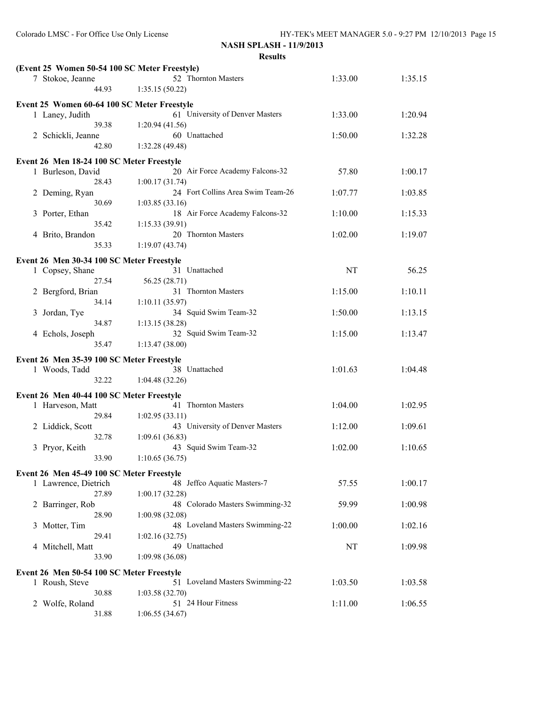**NASH SPLASH - 11/9/2013**

| (Event 25 Women 50-54 100 SC Meter Freestyle)                 |                                                     |         |         |
|---------------------------------------------------------------|-----------------------------------------------------|---------|---------|
| 7 Stokoe, Jeanne                                              | 52 Thornton Masters                                 | 1:33.00 | 1:35.15 |
| 44.93                                                         | 1:35.15(50.22)                                      |         |         |
| Event 25 Women 60-64 100 SC Meter Freestyle                   |                                                     |         |         |
| 1 Laney, Judith                                               | 61 University of Denver Masters                     | 1:33.00 | 1:20.94 |
| 39.38                                                         | 1:20.94(41.56)                                      |         |         |
| 2 Schickli, Jeanne                                            | 60 Unattached                                       | 1:50.00 | 1:32.28 |
| 42.80                                                         | 1:32.28 (49.48)                                     |         |         |
|                                                               |                                                     |         |         |
| Event 26 Men 18-24 100 SC Meter Freestyle                     |                                                     |         |         |
| 1 Burleson, David                                             | 20 Air Force Academy Falcons-32                     | 57.80   | 1:00.17 |
| 28.43                                                         | 1:00.17(31.74)<br>24 Fort Collins Area Swim Team-26 |         |         |
| 2 Deming, Ryan                                                |                                                     | 1:07.77 | 1:03.85 |
| 30.69                                                         | 1:03.85(33.16)                                      |         |         |
| 3 Porter, Ethan<br>35.42                                      | 18 Air Force Academy Falcons-32                     | 1:10.00 | 1:15.33 |
|                                                               | 1:15.33(39.91)<br>20 Thornton Masters               |         |         |
| 4 Brito, Brandon<br>35.33                                     | 1:19.07(43.74)                                      | 1:02.00 | 1:19.07 |
|                                                               |                                                     |         |         |
| Event 26 Men 30-34 100 SC Meter Freestyle                     |                                                     |         |         |
| 1 Copsey, Shane                                               | 31 Unattached                                       | NT      | 56.25   |
| 27.54                                                         | 56.25 (28.71)                                       |         |         |
| 2 Bergford, Brian                                             | 31 Thornton Masters                                 | 1:15.00 | 1:10.11 |
| 34.14                                                         | 1:10.11(35.97)                                      |         |         |
| Jordan, Tye<br>3                                              | 34 Squid Swim Team-32                               | 1:50.00 | 1:13.15 |
| 34.87                                                         | 1:13.15(38.28)                                      |         |         |
| 4 Echols, Joseph                                              | 32 Squid Swim Team-32                               | 1:15.00 | 1:13.47 |
| 35.47                                                         | 1:13.47(38.00)                                      |         |         |
| Event 26 Men 35-39 100 SC Meter Freestyle                     |                                                     |         |         |
| 1 Woods, Tadd                                                 | 38 Unattached                                       | 1:01.63 | 1:04.48 |
| 32.22                                                         | 1:04.48(32.26)                                      |         |         |
|                                                               |                                                     |         |         |
| Event 26 Men 40-44 100 SC Meter Freestyle<br>1 Harveson, Matt | 41 Thornton Masters                                 | 1:04.00 | 1:02.95 |
| 29.84                                                         | 1:02.95(33.11)                                      |         |         |
| 2 Liddick, Scott                                              | 43 University of Denver Masters                     | 1:12.00 | 1:09.61 |
| 32.78                                                         | 1:09.61(36.83)                                      |         |         |
| Pryor, Keith<br>3                                             | 43 Squid Swim Team-32                               | 1:02.00 | 1:10.65 |
| 33.90                                                         | 1:10.65(36.75)                                      |         |         |
|                                                               |                                                     |         |         |
| Event 26 Men 45-49 100 SC Meter Freestyle                     |                                                     |         |         |
| 1 Lawrence, Dietrich                                          | 48 Jeffco Aquatic Masters-7                         | 57.55   | 1:00.17 |
| 27.89                                                         | 1:00.17(32.28)                                      |         |         |
| 2 Barringer, Rob                                              | 48 Colorado Masters Swimming-32                     | 59.99   | 1:00.98 |
| 28.90                                                         | 1:00.98(32.08)                                      |         |         |
| Motter, Tim<br>3                                              | 48 Loveland Masters Swimming-22                     | 1:00.00 | 1:02.16 |
| 29.41                                                         | 1:02.16(32.75)                                      |         |         |
| 4 Mitchell, Matt                                              | 49 Unattached                                       | NT      | 1:09.98 |
| 33.90                                                         | 1:09.98(36.08)                                      |         |         |
| Event 26 Men 50-54 100 SC Meter Freestyle                     |                                                     |         |         |
| 1 Roush, Steve                                                | 51 Loveland Masters Swimming-22                     | 1:03.50 | 1:03.58 |
| 30.88                                                         | 1:03.58(32.70)                                      |         |         |
| Wolfe, Roland<br>2                                            | 51 24 Hour Fitness                                  | 1:11.00 | 1:06.55 |
| 31.88                                                         | 1:06.55(34.67)                                      |         |         |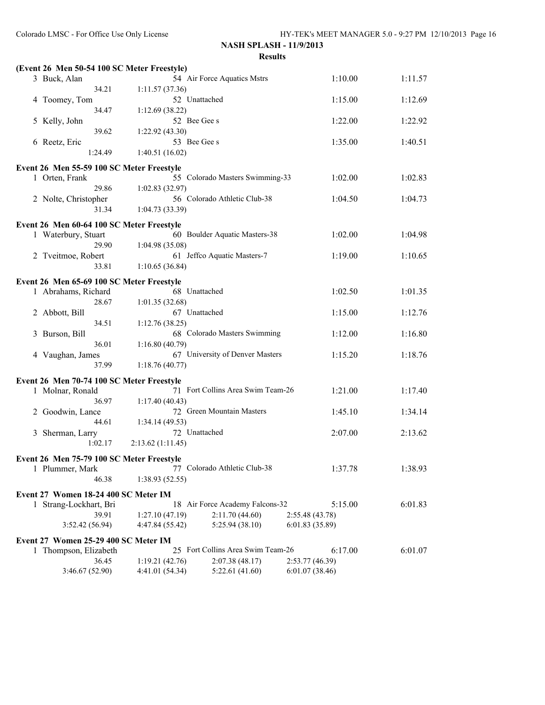|   | (Event 26 Men 50-54 100 SC Meter Freestyle) |                  |                                   |                 |         |         |
|---|---------------------------------------------|------------------|-----------------------------------|-----------------|---------|---------|
|   | 3 Buck, Alan                                |                  | 54 Air Force Aquatics Mstrs       |                 | 1:10.00 | 1:11.57 |
|   | 34.21                                       | 1:11.57(37.36)   |                                   |                 |         |         |
|   | 4 Toomey, Tom                               | 52 Unattached    |                                   |                 | 1:15.00 | 1:12.69 |
|   | 34.47                                       | 1:12.69 (38.22)  |                                   |                 |         |         |
|   | 5 Kelly, John                               | 52 Bee Gee s     |                                   |                 | 1:22.00 | 1:22.92 |
|   | 39.62                                       | 1:22.92 (43.30)  |                                   |                 |         |         |
|   | 6 Reetz, Eric                               | 53 Bee Gee s     |                                   |                 | 1:35.00 | 1:40.51 |
|   | 1:24.49                                     | 1:40.51(16.02)   |                                   |                 |         |         |
|   | Event 26 Men 55-59 100 SC Meter Freestyle   |                  |                                   |                 |         |         |
|   | 1 Orten, Frank                              |                  | 55 Colorado Masters Swimming-33   |                 | 1:02.00 | 1:02.83 |
|   | 29.86                                       | 1:02.83(32.97)   |                                   |                 |         |         |
|   | 2 Nolte, Christopher                        |                  | 56 Colorado Athletic Club-38      |                 | 1:04.50 | 1:04.73 |
|   | 31.34                                       | 1:04.73 (33.39)  |                                   |                 |         |         |
|   | Event 26 Men 60-64 100 SC Meter Freestyle   |                  |                                   |                 |         |         |
|   | 1 Waterbury, Stuart                         |                  | 60 Boulder Aquatic Masters-38     |                 | 1:02.00 | 1:04.98 |
|   | 29.90                                       | 1:04.98(35.08)   |                                   |                 |         |         |
|   | 2 Tveitmoe, Robert                          |                  | 61 Jeffco Aquatic Masters-7       |                 | 1:19.00 | 1:10.65 |
|   | 33.81                                       | 1:10.65(36.84)   |                                   |                 |         |         |
|   | Event 26 Men 65-69 100 SC Meter Freestyle   |                  |                                   |                 |         |         |
|   | 1 Abrahams, Richard                         | 68 Unattached    |                                   |                 | 1:02.50 | 1:01.35 |
|   | 28.67                                       | 1:01.35(32.68)   |                                   |                 |         |         |
|   | 2 Abbott, Bill                              | 67 Unattached    |                                   |                 | 1:15.00 | 1:12.76 |
|   | 34.51                                       | 1:12.76(38.25)   |                                   |                 |         |         |
| 3 | Burson, Bill                                |                  | 68 Colorado Masters Swimming      |                 | 1:12.00 | 1:16.80 |
|   | 36.01                                       | 1:16.80(40.79)   |                                   |                 |         |         |
|   | 4 Vaughan, James                            |                  | 67 University of Denver Masters   |                 | 1:15.20 | 1:18.76 |
|   | 37.99                                       | 1:18.76(40.77)   |                                   |                 |         |         |
|   | Event 26 Men 70-74 100 SC Meter Freestyle   |                  |                                   |                 |         |         |
|   | 1 Molnar, Ronald                            |                  | 71 Fort Collins Area Swim Team-26 |                 | 1:21.00 | 1:17.40 |
|   | 36.97                                       | 1:17.40(40.43)   |                                   |                 |         |         |
|   | 2 Goodwin, Lance                            |                  | 72 Green Mountain Masters         |                 | 1:45.10 | 1:34.14 |
|   | 44.61                                       | 1:34.14 (49.53)  |                                   |                 |         |         |
| 3 | Sherman, Larry                              | 72 Unattached    |                                   |                 | 2:07.00 | 2:13.62 |
|   | 1:02.17                                     | 2:13.62(1:11.45) |                                   |                 |         |         |
|   | Event 26 Men 75-79 100 SC Meter Freestyle   |                  |                                   |                 |         |         |
|   | 1 Plummer, Mark                             |                  | 77 Colorado Athletic Club-38      |                 | 1:37.78 | 1:38.93 |
|   | 46.38                                       | 1:38.93 (52.55)  |                                   |                 |         |         |
|   | Event 27 Women 18-24 400 SC Meter IM        |                  |                                   |                 |         |         |
|   | 1 Strang-Lockhart, Bri                      |                  | 18 Air Force Academy Falcons-32   |                 | 5:15.00 | 6:01.83 |
|   | 39.91                                       | 1:27.10(47.19)   | 2:11.70(44.60)                    | 2:55.48 (43.78) |         |         |
|   | 3:52.42 (56.94)                             | 4:47.84 (55.42)  | 5:25.94 (38.10)                   | 6:01.83(35.89)  |         |         |
|   | Event 27 Women 25-29 400 SC Meter IM        |                  |                                   |                 |         |         |
|   | 1 Thompson, Elizabeth                       |                  | 25 Fort Collins Area Swim Team-26 |                 | 6:17.00 | 6:01.07 |
|   | 36.45                                       | 1:19.21(42.76)   | 2:07.38(48.17)                    | 2:53.77(46.39)  |         |         |
|   | 3:46.67 (52.90)                             | 4:41.01 (54.34)  | 5:22.61(41.60)                    | 6:01.07 (38.46) |         |         |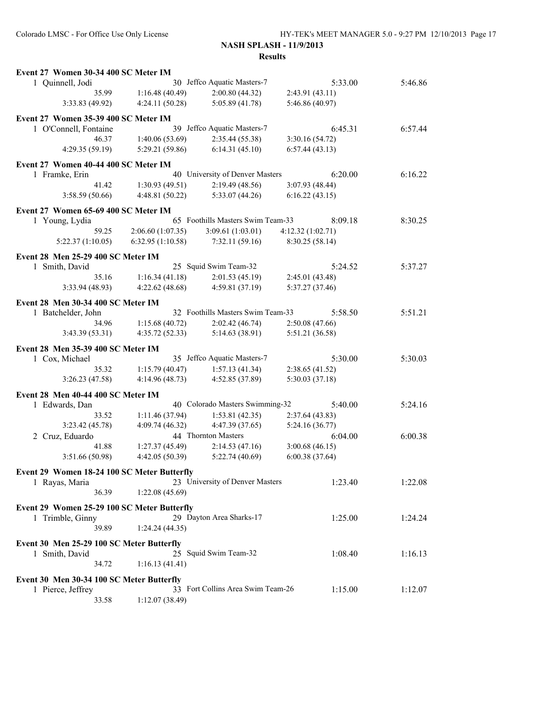| Event 27 Women 30-34 400 SC Meter IM                           |                  |                                   |                                   |         |
|----------------------------------------------------------------|------------------|-----------------------------------|-----------------------------------|---------|
| 1 Quinnell, Jodi                                               |                  | 30 Jeffco Aquatic Masters-7       | 5:33.00                           | 5:46.86 |
| 35.99                                                          | 1:16.48(40.49)   | 2:00.80(44.32)                    | 2:43.91(43.11)                    |         |
| 3:33.83 (49.92)                                                | 4:24.11(50.28)   | 5:05.89 (41.78)                   | 5:46.86 (40.97)                   |         |
| Event 27 Women 35-39 400 SC Meter IM                           |                  |                                   |                                   |         |
| 1 O'Connell, Fontaine                                          |                  | 39 Jeffco Aquatic Masters-7       | 6:45.31                           | 6:57.44 |
| 46.37                                                          | 1:40.06(53.69)   | 2:35.44 (55.38)                   | 3:30.16(54.72)                    |         |
| 4:29.35(59.19)                                                 | 5:29.21 (59.86)  | 6:14.31(45.10)                    | 6:57.44(43.13)                    |         |
|                                                                |                  |                                   |                                   |         |
| Event 27 Women 40-44 400 SC Meter IM                           |                  | 40 University of Denver Masters   | 6:20.00                           | 6:16.22 |
| 1 Framke, Erin<br>41.42                                        | 1:30.93(49.51)   | 2:19.49(48.56)                    |                                   |         |
| 3:58.59(50.66)                                                 | 4:48.81(50.22)   | 5:33.07(44.26)                    | 3:07.93 (48.44)<br>6:16.22(43.15) |         |
|                                                                |                  |                                   |                                   |         |
| Event 27 Women 65-69 400 SC Meter IM                           |                  |                                   |                                   |         |
| 1 Young, Lydia                                                 |                  | 65 Foothills Masters Swim Team-33 | 8:09.18                           | 8:30.25 |
| 59.25                                                          | 2:06.60(1:07.35) | 3:09.61(1:03.01)                  | 4:12.32(1:02.71)                  |         |
| 5:22.37(1:10.05)                                               | 6:32.95(1:10.58) | 7:32.11(59.16)                    | 8:30.25 (58.14)                   |         |
| Event 28 Men 25-29 400 SC Meter IM                             |                  |                                   |                                   |         |
| 1 Smith, David                                                 |                  | 25 Squid Swim Team-32             | 5:24.52                           | 5:37.27 |
| 35.16                                                          | 1:16.34(41.18)   | 2:01.53(45.19)                    | 2:45.01 (43.48)                   |         |
| 3:33.94(48.93)                                                 | 4:22.62(48.68)   | 4:59.81 (37.19)                   | 5:37.27 (37.46)                   |         |
|                                                                |                  |                                   |                                   |         |
| Event 28 Men 30-34 400 SC Meter IM                             |                  | 32 Foothills Masters Swim Team-33 | 5:58.50                           | 5:51.21 |
| 1 Batchelder, John<br>34.96                                    | 1:15.68(40.72)   | 2:02.42(46.74)                    | 2:50.08(47.66)                    |         |
| 3:43.39(53.31)                                                 | 4:35.72(52.33)   | 5:14.63(38.91)                    | 5:51.21 (36.58)                   |         |
|                                                                |                  |                                   |                                   |         |
| Event 28 Men 35-39 400 SC Meter IM                             |                  |                                   |                                   |         |
| 1 Cox, Michael                                                 |                  | 35 Jeffco Aquatic Masters-7       | 5:30.00                           | 5:30.03 |
| 35.32                                                          | 1:15.79(40.47)   | 1:57.13(41.34)                    | 2:38.65 (41.52)                   |         |
| 3:26.23(47.58)                                                 | 4:14.96(48.73)   | 4:52.85 (37.89)                   | 5:30.03 (37.18)                   |         |
| Event 28 Men 40-44 400 SC Meter IM                             |                  |                                   |                                   |         |
| 1 Edwards, Dan                                                 |                  | 40 Colorado Masters Swimming-32   | 5:40.00                           | 5:24.16 |
| 33.52                                                          | 1:11.46(37.94)   | 1:53.81(42.35)                    | 2:37.64(43.83)                    |         |
| 3:23.42 (45.78)                                                | 4:09.74(46.32)   | 4:47.39 (37.65)                   | 5:24.16(36.77)                    |         |
| 2 Cruz, Eduardo                                                |                  | 44 Thornton Masters               | 6:04.00                           | 6:00.38 |
| 41.88                                                          | 1:27.37(45.49)   | 2:14.53(47.16)                    | 3:00.68(46.15)                    |         |
| 3:51.66 (50.98)                                                | 4:42.05(50.39)   | 5:22.74(40.69)                    | 6:00.38(37.64)                    |         |
| Event 29 Women 18-24 100 SC Meter Butterfly                    |                  |                                   |                                   |         |
| 1 Rayas, Maria                                                 |                  | 23 University of Denver Masters   | 1:23.40                           | 1:22.08 |
| 36.39                                                          | 1:22.08(45.69)   |                                   |                                   |         |
|                                                                |                  |                                   |                                   |         |
| Event 29 Women 25-29 100 SC Meter Butterfly                    |                  |                                   |                                   |         |
| 1 Trimble, Ginny                                               |                  | 29 Dayton Area Sharks-17          | 1:25.00                           | 1:24.24 |
| 39.89                                                          | 1:24.24(44.35)   |                                   |                                   |         |
| Event 30 Men 25-29 100 SC Meter Butterfly                      |                  |                                   |                                   |         |
| 1 Smith, David                                                 |                  | 25 Squid Swim Team-32             | 1:08.40                           | 1:16.13 |
| 34.72                                                          | 1:16.13(41.41)   |                                   |                                   |         |
|                                                                |                  |                                   |                                   |         |
| Event 30 Men 30-34 100 SC Meter Butterfly<br>1 Pierce, Jeffrey |                  | 33 Fort Collins Area Swim Team-26 | 1:15.00                           | 1:12.07 |
| 33.58                                                          | 1:12.07(38.49)   |                                   |                                   |         |
|                                                                |                  |                                   |                                   |         |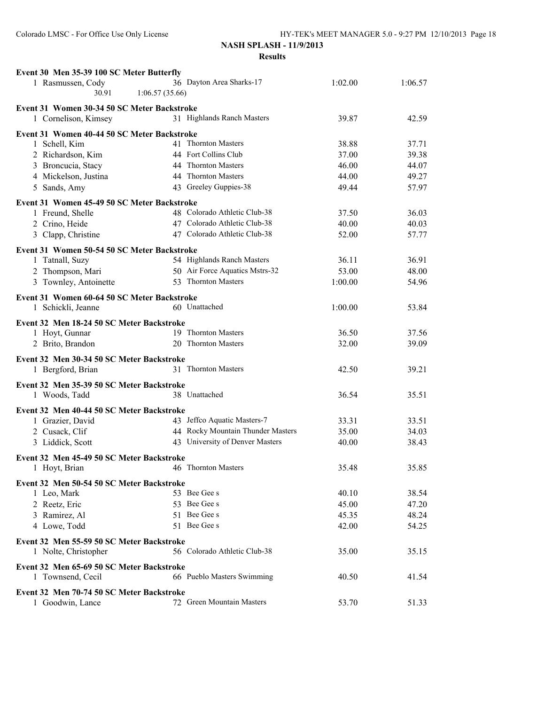| Event 30 Men 35-39 100 SC Meter Butterfly                           |                                                              |                |                |
|---------------------------------------------------------------------|--------------------------------------------------------------|----------------|----------------|
| 1 Rasmussen, Cody                                                   | 36 Dayton Area Sharks-17                                     | 1:02.00        | 1:06.57        |
| 30.91                                                               | 1:06.57(35.66)                                               |                |                |
| Event 31 Women 30-34 50 SC Meter Backstroke<br>1 Cornelison, Kimsey | 31 Highlands Ranch Masters                                   | 39.87          | 42.59          |
|                                                                     |                                                              |                |                |
| Event 31 Women 40-44 50 SC Meter Backstroke                         | 41 Thornton Masters                                          |                |                |
| 1 Schell, Kim<br>2 Richardson, Kim                                  | 44 Fort Collins Club                                         | 38.88<br>37.00 | 37.71          |
| 3 Broncucia, Stacy                                                  | 44 Thornton Masters                                          | 46.00          | 39.38<br>44.07 |
| 4 Mickelson, Justina                                                | 44 Thornton Masters                                          | 44.00          | 49.27          |
| 5 Sands, Amy                                                        | 43 Greeley Guppies-38                                        | 49.44          | 57.97          |
|                                                                     |                                                              |                |                |
| Event 31 Women 45-49 50 SC Meter Backstroke                         |                                                              |                |                |
| 1 Freund, Shelle                                                    | 48 Colorado Athletic Club-38                                 | 37.50          | 36.03          |
| 2 Crino, Heide                                                      | 47 Colorado Athletic Club-38<br>47 Colorado Athletic Club-38 | 40.00          | 40.03          |
| 3 Clapp, Christine                                                  |                                                              | 52.00          | 57.77          |
| Event 31 Women 50-54 50 SC Meter Backstroke                         |                                                              |                |                |
| 1 Tatnall, Suzy                                                     | 54 Highlands Ranch Masters                                   | 36.11          | 36.91          |
| 2 Thompson, Mari                                                    | 50 Air Force Aquatics Mstrs-32                               | 53.00          | 48.00          |
| 3 Townley, Antoinette                                               | 53 Thornton Masters                                          | 1:00.00        | 54.96          |
| Event 31 Women 60-64 50 SC Meter Backstroke                         |                                                              |                |                |
| 1 Schickli, Jeanne                                                  | 60 Unattached                                                | 1:00.00        | 53.84          |
| Event 32 Men 18-24 50 SC Meter Backstroke                           |                                                              |                |                |
| 1 Hoyt, Gunnar                                                      | 19 Thornton Masters                                          | 36.50          | 37.56          |
| 2 Brito, Brandon                                                    | 20 Thornton Masters                                          | 32.00          | 39.09          |
|                                                                     |                                                              |                |                |
| Event 32 Men 30-34 50 SC Meter Backstroke                           | 31 Thornton Masters                                          |                |                |
| 1 Bergford, Brian                                                   |                                                              | 42.50          | 39.21          |
| Event 32 Men 35-39 50 SC Meter Backstroke                           |                                                              |                |                |
| 1 Woods, Tadd                                                       | 38 Unattached                                                | 36.54          | 35.51          |
| Event 32 Men 40-44 50 SC Meter Backstroke                           |                                                              |                |                |
| 1 Grazier, David                                                    | 43 Jeffco Aquatic Masters-7                                  | 33.31          | 33.51          |
| 2 Cusack, Clif                                                      | 44 Rocky Mountain Thunder Masters                            | 35.00          | 34.03          |
| 3 Liddick, Scott                                                    | 43 University of Denver Masters                              | 40.00          | 38.43          |
| Event 32 Men 45-49 50 SC Meter Backstroke                           |                                                              |                |                |
| 1 Hoyt, Brian                                                       | 46 Thornton Masters                                          | 35.48          | 35.85          |
|                                                                     |                                                              |                |                |
| Event 32 Men 50-54 50 SC Meter Backstroke                           | 53 Bee Gee s                                                 |                |                |
| 1 Leo, Mark                                                         | 53 Bee Gee s                                                 | 40.10          | 38.54          |
| 2 Reetz, Eric                                                       | 51 Bee Gee s                                                 | 45.00          | 47.20          |
| 3 Ramirez, Al                                                       | 51 Bee Gee s                                                 | 45.35          | 48.24          |
| 4 Lowe, Todd                                                        |                                                              | 42.00          | 54.25          |
| Event 32 Men 55-59 50 SC Meter Backstroke                           |                                                              |                |                |
| 1 Nolte, Christopher                                                | 56 Colorado Athletic Club-38                                 | 35.00          | 35.15          |
| Event 32 Men 65-69 50 SC Meter Backstroke                           |                                                              |                |                |
| 1 Townsend, Cecil                                                   | 66 Pueblo Masters Swimming                                   | 40.50          | 41.54          |
| Event 32 Men 70-74 50 SC Meter Backstroke                           |                                                              |                |                |
| 1 Goodwin, Lance                                                    | 72 Green Mountain Masters                                    | 53.70          | 51.33          |
|                                                                     |                                                              |                |                |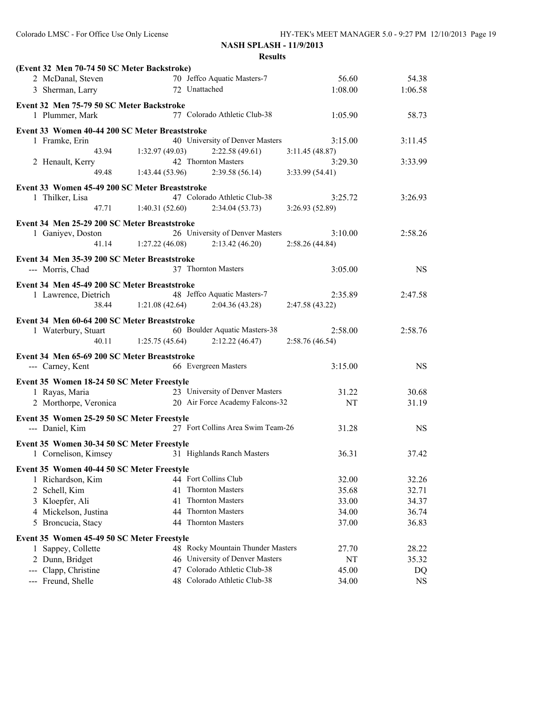| (Event 32 Men 70-74 50 SC Meter Backstroke)<br>70 Jeffco Aquatic Masters-7<br>2 McDanal, Steven<br>56.60<br>72 Unattached<br>3 Sherman, Larry<br>1:08.00<br>1:06.58<br>Event 32 Men 75-79 50 SC Meter Backstroke<br>77 Colorado Athletic Club-38<br>1 Plummer, Mark<br>1:05.90<br>Event 33 Women 40-44 200 SC Meter Breaststroke<br>40 University of Denver Masters<br>1 Framke, Erin<br>3:15.00<br>3:11.45<br>43.94<br>1:32.97(49.03)<br>2:22.58(49.61)<br>3:11.45(48.87)<br>42 Thornton Masters<br>2 Henault, Kerry<br>3:29.30<br>3:33.99<br>1:43.44(53.96)<br>49.48<br>2:39.58(56.14)<br>3:33.99(54.41) | 54.38<br>58.73<br>3:26.93<br>2:58.26 |
|------------------------------------------------------------------------------------------------------------------------------------------------------------------------------------------------------------------------------------------------------------------------------------------------------------------------------------------------------------------------------------------------------------------------------------------------------------------------------------------------------------------------------------------------------------------------------------------------------------|--------------------------------------|
|                                                                                                                                                                                                                                                                                                                                                                                                                                                                                                                                                                                                            |                                      |
|                                                                                                                                                                                                                                                                                                                                                                                                                                                                                                                                                                                                            |                                      |
|                                                                                                                                                                                                                                                                                                                                                                                                                                                                                                                                                                                                            |                                      |
|                                                                                                                                                                                                                                                                                                                                                                                                                                                                                                                                                                                                            |                                      |
|                                                                                                                                                                                                                                                                                                                                                                                                                                                                                                                                                                                                            |                                      |
|                                                                                                                                                                                                                                                                                                                                                                                                                                                                                                                                                                                                            |                                      |
|                                                                                                                                                                                                                                                                                                                                                                                                                                                                                                                                                                                                            |                                      |
|                                                                                                                                                                                                                                                                                                                                                                                                                                                                                                                                                                                                            |                                      |
|                                                                                                                                                                                                                                                                                                                                                                                                                                                                                                                                                                                                            |                                      |
| Event 33 Women 45-49 200 SC Meter Breaststroke                                                                                                                                                                                                                                                                                                                                                                                                                                                                                                                                                             |                                      |
| 47 Colorado Athletic Club-38<br>1 Thilker, Lisa<br>3:25.72                                                                                                                                                                                                                                                                                                                                                                                                                                                                                                                                                 |                                      |
| 47.71<br>1:40.31(52.60)<br>2:34.04(53.73)<br>3:26.93(52.89)                                                                                                                                                                                                                                                                                                                                                                                                                                                                                                                                                |                                      |
| Event 34 Men 25-29 200 SC Meter Breaststroke                                                                                                                                                                                                                                                                                                                                                                                                                                                                                                                                                               |                                      |
| 26 University of Denver Masters<br>3:10.00<br>1 Ganiyev, Doston                                                                                                                                                                                                                                                                                                                                                                                                                                                                                                                                            |                                      |
| 1:27.22(46.08)<br>2:13.42(46.20)<br>2:58.26(44.84)<br>41.14                                                                                                                                                                                                                                                                                                                                                                                                                                                                                                                                                |                                      |
|                                                                                                                                                                                                                                                                                                                                                                                                                                                                                                                                                                                                            |                                      |
| Event 34 Men 35-39 200 SC Meter Breaststroke                                                                                                                                                                                                                                                                                                                                                                                                                                                                                                                                                               |                                      |
| 37 Thornton Masters<br>--- Morris, Chad<br>3:05.00                                                                                                                                                                                                                                                                                                                                                                                                                                                                                                                                                         | <b>NS</b>                            |
| Event 34 Men 45-49 200 SC Meter Breaststroke                                                                                                                                                                                                                                                                                                                                                                                                                                                                                                                                                               |                                      |
| 48 Jeffco Aquatic Masters-7<br>1 Lawrence, Dietrich<br>2:35.89<br>2:47.58                                                                                                                                                                                                                                                                                                                                                                                                                                                                                                                                  |                                      |
| 1:21.08(42.64)<br>2:04.36(43.28)<br>38.44<br>2:47.58 (43.22)                                                                                                                                                                                                                                                                                                                                                                                                                                                                                                                                               |                                      |
| Event 34 Men 60-64 200 SC Meter Breaststroke                                                                                                                                                                                                                                                                                                                                                                                                                                                                                                                                                               |                                      |
| 60 Boulder Aquatic Masters-38<br>2:58.00<br>2:58.76<br>1 Waterbury, Stuart                                                                                                                                                                                                                                                                                                                                                                                                                                                                                                                                 |                                      |
| 2:12.22(46.47)<br>40.11<br>1:25.75(45.64)<br>2:58.76(46.54)                                                                                                                                                                                                                                                                                                                                                                                                                                                                                                                                                |                                      |
| Event 34 Men 65-69 200 SC Meter Breaststroke                                                                                                                                                                                                                                                                                                                                                                                                                                                                                                                                                               |                                      |
| 66 Evergreen Masters<br>--- Carney, Kent<br>3:15.00                                                                                                                                                                                                                                                                                                                                                                                                                                                                                                                                                        | <b>NS</b>                            |
| Event 35 Women 18-24 50 SC Meter Freestyle                                                                                                                                                                                                                                                                                                                                                                                                                                                                                                                                                                 |                                      |
| 23 University of Denver Masters<br>1 Rayas, Maria<br>31.22                                                                                                                                                                                                                                                                                                                                                                                                                                                                                                                                                 | 30.68                                |
| 20 Air Force Academy Falcons-32<br>2 Morthorpe, Veronica<br>NT                                                                                                                                                                                                                                                                                                                                                                                                                                                                                                                                             | 31.19                                |
|                                                                                                                                                                                                                                                                                                                                                                                                                                                                                                                                                                                                            |                                      |
| Event 35 Women 25-29 50 SC Meter Freestyle                                                                                                                                                                                                                                                                                                                                                                                                                                                                                                                                                                 |                                      |
| 27 Fort Collins Area Swim Team-26<br>--- Daniel, Kim<br>31.28                                                                                                                                                                                                                                                                                                                                                                                                                                                                                                                                              | <b>NS</b>                            |
| Event 35 Women 30-34 50 SC Meter Freestyle                                                                                                                                                                                                                                                                                                                                                                                                                                                                                                                                                                 |                                      |
| 31 Highlands Ranch Masters<br>36.31<br>1 Cornelison, Kimsey                                                                                                                                                                                                                                                                                                                                                                                                                                                                                                                                                | 37.42                                |
| Event 35 Women 40-44 50 SC Meter Freestyle                                                                                                                                                                                                                                                                                                                                                                                                                                                                                                                                                                 |                                      |
| 44 Fort Collins Club<br>1 Richardson, Kim<br>32.00                                                                                                                                                                                                                                                                                                                                                                                                                                                                                                                                                         | 32.26                                |
| 41 Thornton Masters<br>35.68<br>2 Schell, Kim                                                                                                                                                                                                                                                                                                                                                                                                                                                                                                                                                              | 32.71                                |
| 3 Kloepfer, Ali<br>41 Thornton Masters<br>33.00                                                                                                                                                                                                                                                                                                                                                                                                                                                                                                                                                            | 34.37                                |
| 44 Thornton Masters<br>4 Mickelson, Justina<br>34.00                                                                                                                                                                                                                                                                                                                                                                                                                                                                                                                                                       | 36.74                                |
| 44 Thornton Masters<br>5 Broncucia, Stacy<br>37.00                                                                                                                                                                                                                                                                                                                                                                                                                                                                                                                                                         | 36.83                                |
|                                                                                                                                                                                                                                                                                                                                                                                                                                                                                                                                                                                                            |                                      |
| Event 35 Women 45-49 50 SC Meter Freestyle<br>48 Rocky Mountain Thunder Masters<br>1 Sappey, Collette<br>27.70                                                                                                                                                                                                                                                                                                                                                                                                                                                                                             | 28.22                                |
| 46 University of Denver Masters<br>2 Dunn, Bridget<br>NT                                                                                                                                                                                                                                                                                                                                                                                                                                                                                                                                                   | 35.32                                |
| 47 Colorado Athletic Club-38<br>Clapp, Christine<br>45.00<br>$\frac{1}{2} \frac{1}{2} \frac{1}{2} \frac{1}{2} \frac{1}{2} \frac{1}{2} \frac{1}{2} \frac{1}{2} \frac{1}{2} \frac{1}{2} \frac{1}{2} \frac{1}{2} \frac{1}{2} \frac{1}{2} \frac{1}{2} \frac{1}{2} \frac{1}{2} \frac{1}{2} \frac{1}{2} \frac{1}{2} \frac{1}{2} \frac{1}{2} \frac{1}{2} \frac{1}{2} \frac{1}{2} \frac{1}{2} \frac{1}{2} \frac{1}{2} \frac{1}{2} \frac{1}{2} \frac{1}{2} \frac{$                                                                                                                                                  | DQ                                   |
| 48 Colorado Athletic Club-38<br>--- Freund, Shelle<br>34.00                                                                                                                                                                                                                                                                                                                                                                                                                                                                                                                                                | <b>NS</b>                            |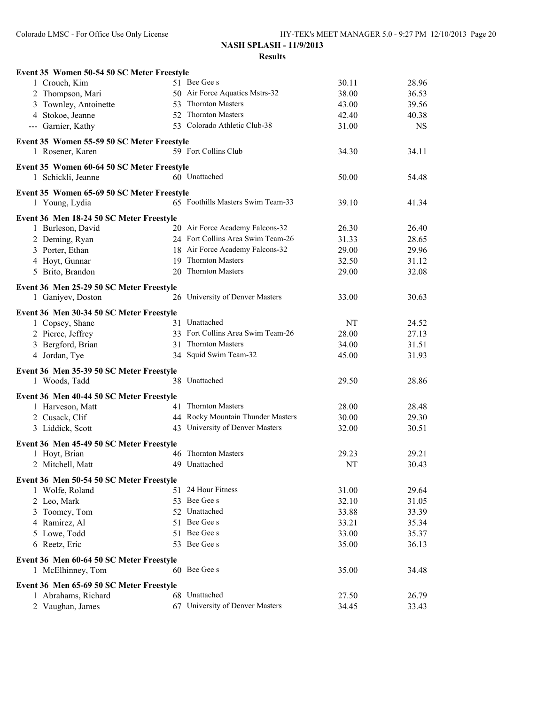| Event 35 Women 50-54 50 SC Meter Freestyle                      |                                   |       |                |
|-----------------------------------------------------------------|-----------------------------------|-------|----------------|
| 1 Crouch, Kim                                                   | 51 Bee Gee s                      | 30.11 | 28.96          |
| 2 Thompson, Mari                                                | 50 Air Force Aquatics Mstrs-32    | 38.00 | 36.53          |
| 3 Townley, Antoinette                                           | 53 Thornton Masters               | 43.00 | 39.56          |
| 4 Stokoe, Jeanne                                                | 52 Thornton Masters               | 42.40 | 40.38          |
| --- Garnier, Kathy                                              | 53 Colorado Athletic Club-38      | 31.00 | <b>NS</b>      |
| Event 35 Women 55-59 50 SC Meter Freestyle                      |                                   |       |                |
| 1 Rosener, Karen                                                | 59 Fort Collins Club              | 34.30 | 34.11          |
| Event 35 Women 60-64 50 SC Meter Freestyle                      |                                   |       |                |
| 1 Schickli, Jeanne                                              | 60 Unattached                     | 50.00 | 54.48          |
| Event 35 Women 65-69 50 SC Meter Freestyle                      |                                   |       |                |
| 1 Young, Lydia                                                  | 65 Foothills Masters Swim Team-33 | 39.10 | 41.34          |
| Event 36 Men 18-24 50 SC Meter Freestyle                        |                                   |       |                |
| 1 Burleson, David                                               | 20 Air Force Academy Falcons-32   | 26.30 | 26.40          |
| 2 Deming, Ryan                                                  | 24 Fort Collins Area Swim Team-26 | 31.33 | 28.65          |
| 3 Porter, Ethan                                                 | 18 Air Force Academy Falcons-32   | 29.00 | 29.96          |
| 4 Hoyt, Gunnar                                                  | 19 Thornton Masters               | 32.50 | 31.12          |
| 5 Brito, Brandon                                                | 20 Thornton Masters               | 29.00 | 32.08          |
| Event 36 Men 25-29 50 SC Meter Freestyle                        |                                   |       |                |
| 1 Ganiyev, Doston                                               | 26 University of Denver Masters   | 33.00 | 30.63          |
|                                                                 |                                   |       |                |
| Event 36 Men 30-34 50 SC Meter Freestyle                        | 31 Unattached                     | NT    | 24.52          |
| 1 Copsey, Shane                                                 | 33 Fort Collins Area Swim Team-26 | 28.00 | 27.13          |
| 2 Pierce, Jeffrey                                               | 31 Thornton Masters               |       |                |
| 3 Bergford, Brian                                               | 34 Squid Swim Team-32             | 34.00 | 31.51<br>31.93 |
| 4 Jordan, Tye                                                   |                                   | 45.00 |                |
| Event 36 Men 35-39 50 SC Meter Freestyle                        |                                   |       |                |
| 1 Woods, Tadd                                                   | 38 Unattached                     | 29.50 | 28.86          |
| Event 36 Men 40-44 50 SC Meter Freestyle                        |                                   |       |                |
| 1 Harveson, Matt                                                | 41 Thornton Masters               | 28.00 | 28.48          |
| 2 Cusack, Clif                                                  | 44 Rocky Mountain Thunder Masters | 30.00 | 29.30          |
| 3 Liddick, Scott                                                | 43 University of Denver Masters   | 32.00 | 30.51          |
| Event 36 Men 45-49 50 SC Meter Freestyle                        |                                   |       |                |
| 1 Hoyt, Brian                                                   | 46 Thornton Masters               | 29.23 | 29.21          |
| 2 Mitchell, Matt                                                | 49 Unattached                     | NT    | 30.43          |
| Event 36 Men 50-54 50 SC Meter Freestyle                        |                                   |       |                |
| 1 Wolfe, Roland                                                 | 51 24 Hour Fitness                | 31.00 | 29.64          |
| 2 Leo, Mark                                                     | 53 Bee Gee s                      | 32.10 | 31.05          |
| 3 Toomey, Tom                                                   | 52 Unattached                     | 33.88 | 33.39          |
| 4 Ramirez, Al                                                   | 51 Bee Gee s                      | 33.21 | 35.34          |
| 5 Lowe, Todd                                                    | 51 Bee Gee s                      | 33.00 | 35.37          |
| 6 Reetz, Eric                                                   | 53 Bee Gee s                      | 35.00 | 36.13          |
| Event 36 Men 60-64 50 SC Meter Freestyle                        |                                   |       |                |
| 1 McElhinney, Tom                                               | 60 Bee Gee s                      | 35.00 | 34.48          |
|                                                                 |                                   |       |                |
| Event 36 Men 65-69 50 SC Meter Freestyle<br>1 Abrahams, Richard | 68 Unattached                     | 27.50 | 26.79          |
| 2 Vaughan, James                                                | 67 University of Denver Masters   | 34.45 | 33.43          |
|                                                                 |                                   |       |                |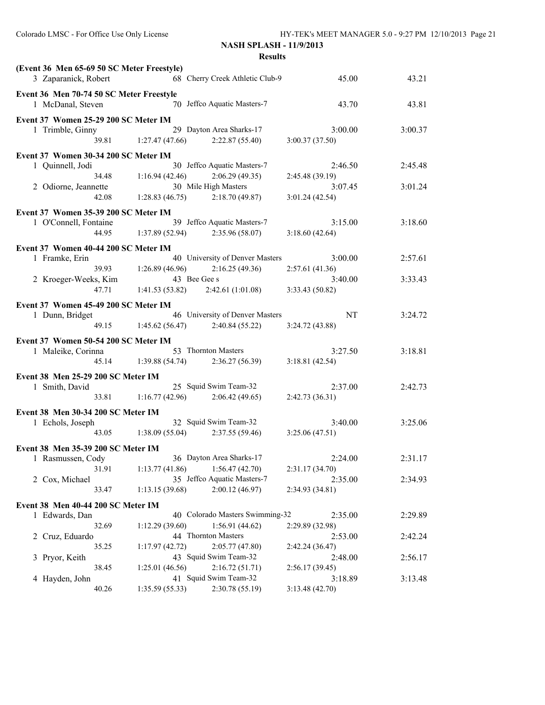| (Event 36 Men 65-69 50 SC Meter Freestyle) |                       |                                       |                           |         |
|--------------------------------------------|-----------------------|---------------------------------------|---------------------------|---------|
| 3 Zaparanick, Robert                       |                       | 68 Cherry Creek Athletic Club-9       | 45.00                     | 43.21   |
| Event 36 Men 70-74 50 SC Meter Freestyle   |                       |                                       |                           |         |
| 1 McDanal, Steven                          |                       | 70 Jeffco Aquatic Masters-7           | 43.70                     | 43.81   |
| Event 37 Women 25-29 200 SC Meter IM       |                       |                                       |                           |         |
| 1 Trimble, Ginny                           |                       | 29 Dayton Area Sharks-17              | 3:00.00                   | 3:00.37 |
| 39.81                                      | 1:27.47(47.66)        | 2:22.87(55.40)                        | 3:00.37(37.50)            |         |
| Event 37 Women 30-34 200 SC Meter IM       |                       |                                       |                           |         |
| 1 Quinnell, Jodi                           |                       | 30 Jeffco Aquatic Masters-7           | 2:46.50                   | 2:45.48 |
| 34.48                                      | 1:16.94(42.46)        | 2:06.29(49.35)                        | 2:45.48(39.19)            |         |
| 2 Odiorne, Jeannette                       |                       | 30 Mile High Masters                  | 3:07.45                   | 3:01.24 |
| 42.08                                      |                       | $1:28.83(46.75)$ $2:18.70(49.87)$     | 3:01.24(42.54)            |         |
| Event 37 Women 35-39 200 SC Meter IM       |                       |                                       |                           |         |
| 1 O'Connell, Fontaine                      |                       | 39 Jeffco Aquatic Masters-7           | 3:15.00                   | 3:18.60 |
| 44.95                                      |                       | $1:37.89(52.94)$ $2:35.96(58.07)$     | 3:18.60(42.64)            |         |
|                                            |                       |                                       |                           |         |
| Event 37 Women 40-44 200 SC Meter IM       |                       |                                       |                           |         |
| 1 Framke, Erin                             |                       | 40 University of Denver Masters       | 3:00.00                   | 2:57.61 |
|                                            | 39.93 1:26.89 (46.96) | 2:16.25(49.36)<br>43 Bee Gee s        | 2:57.61(41.36)            |         |
| 2 Kroeger-Weeks, Kim<br>47.71              |                       | $1:41.53(53.82)$ $2:42.61(1:01.08)$   | 3:40.00<br>3:33.43(50.82) | 3:33.43 |
|                                            |                       |                                       |                           |         |
| Event 37 Women 45-49 200 SC Meter IM       |                       |                                       |                           |         |
| 1 Dunn, Bridget                            |                       | 46 University of Denver Masters       | NT                        | 3:24.72 |
|                                            |                       | 49.15 1:45.62 (56.47) 2:40.84 (55.22) | 3:24.72(43.88)            |         |
| Event 37 Women 50-54 200 SC Meter IM       |                       |                                       |                           |         |
| 1 Maleike, Corinna                         |                       | 53 Thornton Masters                   | 3:27.50                   | 3:18.81 |
| 45.14                                      |                       | $1:39.88(54.74)$ $2:36.27(56.39)$     | 3:18.81(42.54)            |         |
| Event 38 Men 25-29 200 SC Meter IM         |                       |                                       |                           |         |
| 1 Smith, David                             |                       | 25 Squid Swim Team-32                 | 2:37.00                   | 2:42.73 |
| 33.81                                      | 1:16.77(42.96)        | 2:06.42(49.65)                        | 2:42.73(36.31)            |         |
|                                            |                       |                                       |                           |         |
| Event 38 Men 30-34 200 SC Meter IM         |                       | 32 Squid Swim Team-32                 | 3:40.00                   | 3:25.06 |
| 1 Echols, Joseph                           |                       | 43.05 1:38.09 (55.04) 2:37.55 (59.46) | 3:25.06(47.51)            |         |
|                                            |                       |                                       |                           |         |
| Event 38 Men 35-39 200 SC Meter IM         |                       |                                       |                           |         |
| 1 Rasmussen, Cody                          |                       | 36 Dayton Area Sharks-17              | 2:24.00                   | 2:31.17 |
| 31.91                                      | 1:13.77(41.86)        | 1:56.47(42.70)                        | 2:31.17 (34.70)           |         |
| 2 Cox, Michael                             |                       | 35 Jeffco Aquatic Masters-7           | 2:35.00                   | 2:34.93 |
| 33.47                                      | 1:13.15(39.68)        | 2:00.12(46.97)                        | 2:34.93 (34.81)           |         |
| Event 38 Men 40-44 200 SC Meter IM         |                       |                                       |                           |         |
| 1 Edwards, Dan                             |                       | 40 Colorado Masters Swimming-32       | 2:35.00                   | 2:29.89 |
| 32.69                                      | 1:12.29(39.60)        | 1:56.91(44.62)                        | 2:29.89 (32.98)           |         |
| 2 Cruz, Eduardo                            |                       | 44 Thornton Masters                   | 2:53.00                   | 2:42.24 |
| 35.25                                      | 1:17.97(42.72)        | 2:05.77(47.80)                        | 2:42.24(36.47)            |         |
| 3 Pryor, Keith                             |                       | 43 Squid Swim Team-32                 | 2:48.00                   | 2:56.17 |
| 38.45                                      | 1:25.01(46.56)        | 2:16.72(51.71)                        | 2:56.17(39.45)            |         |
| 4 Hayden, John                             |                       | 41 Squid Swim Team-32                 | 3:18.89                   | 3:13.48 |
| 40.26                                      | 1:35.59(55.33)        | 2:30.78 (55.19)                       | 3:13.48(42.70)            |         |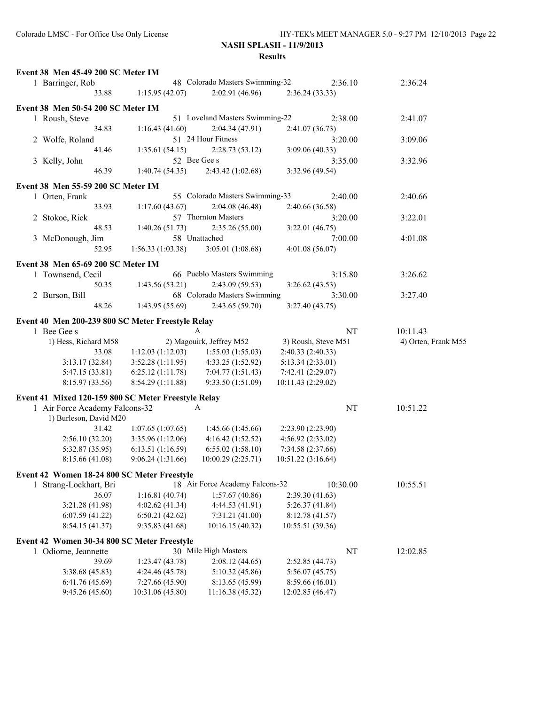| Event 38 Men 45-49 200 SC Meter IM                  |                                   |                                   |                                    |          |                     |
|-----------------------------------------------------|-----------------------------------|-----------------------------------|------------------------------------|----------|---------------------|
| 1 Barringer, Rob                                    |                                   | 48 Colorado Masters Swimming-32   |                                    | 2:36.10  | 2:36.24             |
| 33.88                                               | 1:15.95(42.07)                    | 2:02.91 (46.96)                   | 2:36.24(33.33)                     |          |                     |
| Event 38 Men 50-54 200 SC Meter IM                  |                                   |                                   |                                    |          |                     |
| 1 Roush, Steve                                      |                                   | 51 Loveland Masters Swimming-22   |                                    | 2:38.00  | 2:41.07             |
| 34.83                                               | 1:16.43(41.60)                    | 2:04.34(47.91)                    | 2:41.07(36.73)                     |          |                     |
| 2 Wolfe, Roland                                     |                                   | 51 24 Hour Fitness                |                                    | 3:20.00  | 3:09.06             |
| 41.46                                               | 1:35.61(54.15)                    | 2:28.73(53.12)                    | 3:09.06(40.33)                     |          |                     |
| 3 Kelly, John                                       |                                   | 52 Bee Gee s                      |                                    | 3:35.00  | 3:32.96             |
| 46.39                                               | 1:40.74(54.35)                    | 2:43.42 (1:02.68)                 | 3:32.96 (49.54)                    |          |                     |
| Event 38 Men 55-59 200 SC Meter IM                  |                                   |                                   |                                    |          |                     |
| 1 Orten, Frank                                      |                                   | 55 Colorado Masters Swimming-33   |                                    | 2:40.00  | 2:40.66             |
| 33.93                                               | 1:17.60(43.67)                    | 2:04.08(46.48)                    | 2:40.66 (36.58)                    |          |                     |
| 2 Stokoe, Rick                                      |                                   | 57 Thornton Masters               |                                    | 3:20.00  | 3:22.01             |
| 48.53                                               | 1:40.26(51.73)                    | 2:35.26(55.00)                    | 3:22.01(46.75)                     |          |                     |
| 3 McDonough, Jim                                    |                                   | 58 Unattached                     |                                    | 7:00.00  | 4:01.08             |
| 52.95                                               | 1:56.33(1:03.38)                  | 3:05.01(1:08.68)                  | 4:01.08 (56.07)                    |          |                     |
|                                                     |                                   |                                   |                                    |          |                     |
| Event 38 Men 65-69 200 SC Meter IM                  |                                   |                                   |                                    |          |                     |
| 1 Townsend, Cecil                                   |                                   | 66 Pueblo Masters Swimming        |                                    | 3:15.80  | 3:26.62             |
| 50.35                                               | 1:43.56(53.21)                    | 2:43.09 (59.53)                   | 3:26.62(43.53)                     |          |                     |
| 2 Burson, Bill                                      |                                   | 68 Colorado Masters Swimming      |                                    | 3:30.00  | 3:27.40             |
| 48.26                                               | 1:43.95(55.69)                    | 2:43.65(59.70)                    | 3:27.40(43.75)                     |          |                     |
| Event 40 Men 200-239 800 SC Meter Freestyle Relay   |                                   |                                   |                                    |          |                     |
| 1 Bee Gee s                                         |                                   | A                                 |                                    | NT       | 10:11.43            |
| 1) Hess, Richard M58                                |                                   | 2) Magouirk, Jeffrey M52          | 3) Roush, Steve M51                |          | 4) Orten, Frank M55 |
| 33.08                                               | 1:12.03(1:12.03)                  | 1:55.03(1:55.03)                  | 2:40.33(2:40.33)                   |          |                     |
| 3:13.17(32.84)                                      | 3:52.28(1:11.95)                  | 4:33.25 (1:52.92)                 | 5:13.34(2:33.01)                   |          |                     |
| 5:47.15 (33.81)                                     | 6:25.12(1:11.78)                  | 7:04.77(1:51.43)                  | 7:42.41 (2:29.07)                  |          |                     |
| 8:15.97 (33.56)                                     | 8:54.29 (1:11.88)                 | 9:33.50 (1:51.09)                 | 10:11.43 (2:29.02)                 |          |                     |
| Event 41 Mixed 120-159 800 SC Meter Freestyle Relay |                                   |                                   |                                    |          |                     |
| 1 Air Force Academy Falcons-32                      |                                   | A                                 |                                    | NT       | 10:51.22            |
| 1) Burleson, David M20                              |                                   |                                   |                                    |          |                     |
| 31.42                                               | 1:07.65(1:07.65)                  | 1:45.66(1:45.66)                  | 2:23.90 (2:23.90)                  |          |                     |
| 2:56.10(32.20)                                      | 3:35.96(1:12.06)                  | 4:16.42(1:52.52)                  | 4:56.92(2:33.02)                   |          |                     |
| 5:32.87 (35.95)                                     | 6:13.51 (1:16.59)                 | 6:55.02(1:58.10)                  | 7:34.58 (2:37.66)                  |          |                     |
| 8:15.66 (41.08)                                     | 9:06.24(1:31.66)                  | 10:00.29 (2:25.71)                | 10:51.22 (3:16.64)                 |          |                     |
|                                                     |                                   |                                   |                                    |          |                     |
| Event 42 Women 18-24 800 SC Meter Freestyle         |                                   |                                   |                                    |          |                     |
| 1 Strang-Lockhart, Bri                              |                                   | 18 Air Force Academy Falcons-32   |                                    | 10:30.00 | 10:55.51            |
| 36.07<br>3:21.28 (41.98)                            | 1:16.81(40.74)                    | 1:57.67(40.86)                    | 2:39.30(41.63)<br>5:26.37(41.84)   |          |                     |
|                                                     | 4:02.62 (41.34)<br>6:50.21(42.62) | 4:44.53 (41.91)                   |                                    |          |                     |
| 6:07.59(41.22)<br>8:54.15(41.37)                    | 9:35.83(41.68)                    | 7:31.21(41.00)<br>10:16.15(40.32) | 8:12.78(41.57)<br>10:55.51 (39.36) |          |                     |
|                                                     |                                   |                                   |                                    |          |                     |
| Event 42 Women 30-34 800 SC Meter Freestyle         |                                   |                                   |                                    |          |                     |
| 1 Odiorne, Jeannette                                |                                   | 30 Mile High Masters              |                                    | NT       | 12:02.85            |
| 39.69                                               | 1:23.47(43.78)                    | 2:08.12(44.65)                    | 2:52.85 (44.73)                    |          |                     |
| 3:38.68 (45.83)                                     | 4:24.46 (45.78)                   | 5:10.32 (45.86)                   | 5:56.07(45.75)                     |          |                     |
| 6:41.76(45.69)                                      | 7:27.66 (45.90)                   | 8:13.65 (45.99)                   | 8:59.66 (46.01)                    |          |                     |
| 9:45.26(45.60)                                      | 10:31.06 (45.80)                  | 11:16.38 (45.32)                  | 12:02.85 (46.47)                   |          |                     |